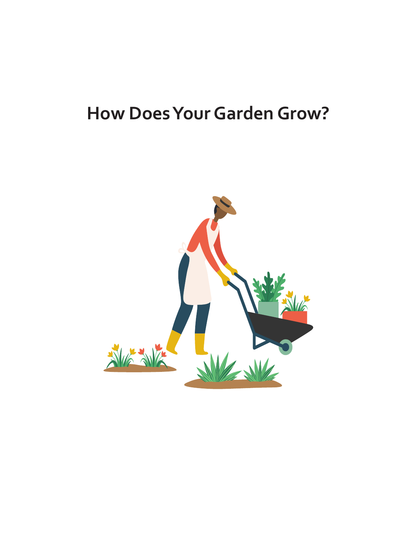# **How Does Your Garden Grow?**

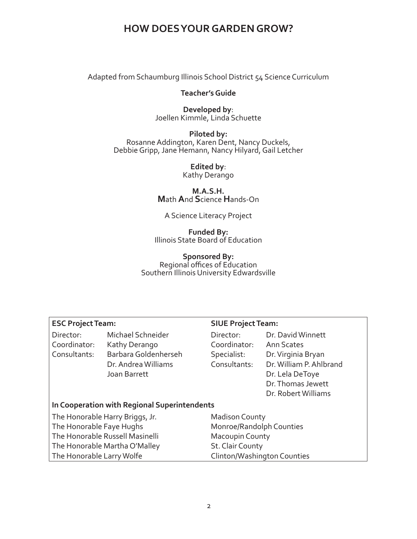Adapted from Schaumburg Illinois School District 54 Science Curriculum

#### **Teacher's Guide**

**Developed by**: Joellen Kimmle, Linda Schuette

**Piloted by:** Rosanne Addington, Karen Dent, Nancy Duckels, Debbie Gripp, Jane Hemann, Nancy Hilyard, Gail Letcher

> **Edited by**: Kathy Derango

**M.A.S.H. M**ath **A**nd **S**cience **H**ands-On

#### A Science Literacy Project

**Funded By:** Illinois State Board of Education

#### **Sponsored By:** Regional offices of Education Southern Illinois University Edwardsville

#### **ESC Project Team: SIUE Project Team:**

Director: Michael Schneider Coordinator: Kathy Derango Consultants: Barbara Goldenherseh Dr. Andrea Williams Joan Barrett

| Director:<br>Coordinator:<br>Specialist:<br>Consultants: | Dr. David Winnett<br>Ann Scates<br>Dr. Virginia Bryan<br>Dr. William P. Ahlbrand<br>Dr. Lela DeToye |
|----------------------------------------------------------|-----------------------------------------------------------------------------------------------------|
|                                                          | Dr. Thomas Jewett<br>Dr. Robert Williams                                                            |

#### **In Cooperation with Regional Superintendents**

The Honorable Harry Briggs, Jr. The Honorable Faye Hughs The Honorable Russell Masinelli The Honorable Martha O'Malley The Honorable Larry Wolfe

Madison County Monroe/Randolph Counties Macoupin County St. Clair County Clinton/Washington Counties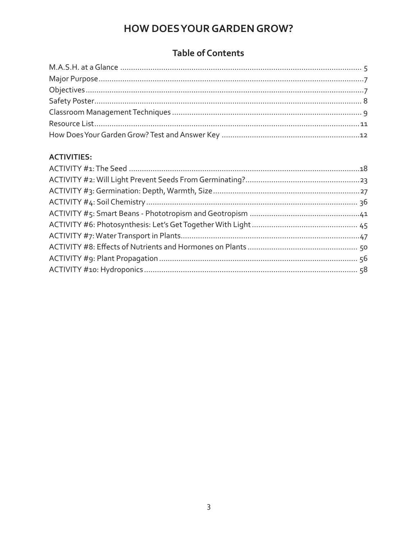### **Table of Contents**

#### **ACTIVITIES:**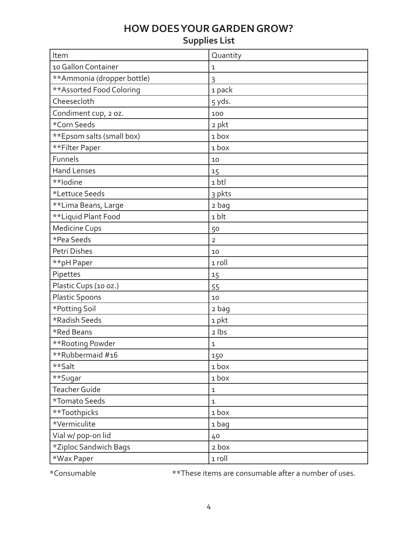### **Supplies List**

| Item                       | Quantity       |
|----------------------------|----------------|
| 10 Gallon Container        | 1              |
| **Ammonia (dropper bottle) | 3              |
| ** Assorted Food Coloring  | 1 pack         |
| Cheesecloth                | 5 yds.         |
| Condiment cup, 2 oz.       | 100            |
| *Corn Seeds                | 2 pkt          |
| **Epsom salts (small box)  | 1 box          |
| **Filter Paper             | 1 box          |
| Funnels                    | 10             |
| <b>Hand Lenses</b>         | 15             |
| **lodine                   | 1 btl          |
| *Lettuce Seeds             | 3 pkts         |
| **Lima Beans, Large        | 2 bag          |
| **Liquid Plant Food        | 1 blt          |
| <b>Medicine Cups</b>       | 50             |
| *Pea Seeds                 | $\overline{2}$ |
| Petri Dishes               | 10             |
| **pH Paper                 | 1 roll         |
| Pipettes                   | 15             |
| Plastic Cups (10 oz.)      | 55             |
| <b>Plastic Spoons</b>      | 10             |
| *Potting Soil              | 2 bag          |
| *Radish Seeds              | 1 pkt          |
| *Red Beans                 | 2 lbs          |
| ** Rooting Powder          | $\mathbf 1$    |
| **Rubbermaid #16           | 150            |
| **Salt                     | 1 box          |
| **Sugar                    | 1 box          |
| <b>Teacher Guide</b>       | $\mathbf 1$    |
| *Tomato Seeds              | $\mathbf 1$    |
| **Toothpicks               | 1box           |
| *Vermiculite               | 1 bag          |
| Vial w/ pop-on lid         | 40             |
| *Ziploc Sandwich Bags      | 2 box          |
| *Wax Paper                 | 1 roll         |

\*Consumable \*\*These items are consumable after a number of uses.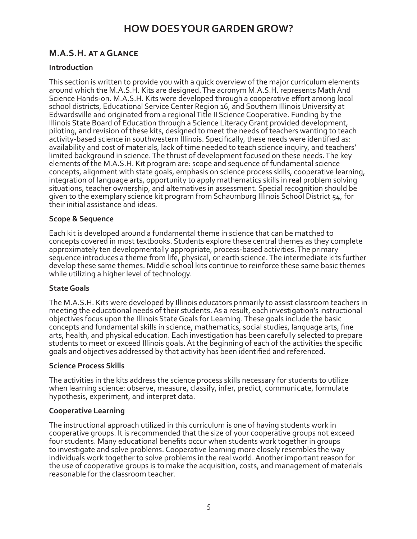### **M.A.S.H. at a Glance**

#### **Introduction**

This section is written to provide you with a quick overview of the major curriculum elements around which the M.A.S.H. Kits are designed. The acronym M.A.S.H. represents Math And Science Hands-on. M.A.S.H. Kits were developed through a cooperative effort among local school districts, Educational Service Center Region 16, and Southern Illinois University at Edwardsville and originated from a regional Title II Science Cooperative. Funding by the Illinois State Board of Education through a Science Literacy Grant provided development, piloting, and revision of these kits, designed to meet the needs of teachers wanting to teach activity-based science in southwestern Illinois. Specifically, these needs were identified as: availability and cost of materials, lack of time needed to teach science inquiry, and teachers' limited background in science. The thrust of development focused on these needs. The key elements of the M.A.S.H. Kit program are: scope and sequence of fundamental science concepts, alignment with state goals, emphasis on science process skills, cooperative learning, integration of language arts, opportunity to apply mathematics skills in real problem solving situations, teacher ownership, and alternatives in assessment. Special recognition should be given to the exemplary science kit program from Schaumburg Illinois School District 54, for their initial assistance and ideas.

#### **Scope & Sequence**

Each kit is developed around a fundamental theme in science that can be matched to concepts covered in most textbooks. Students explore these central themes as they complete approximately ten developmentally appropriate, process-based activities. The primary sequence introduces a theme from life, physical, or earth science. The intermediate kits further develop these same themes. Middle school kits continue to reinforce these same basic themes while utilizing a higher level of technology.

#### **State Goals**

The M.A.S.H. Kits were developed by Illinois educators primarily to assist classroom teachers in meeting the educational needs of their students. As a result, each investigation's instructional objectives focus upon the Illinois State Goals for Learning. These goals include the basic concepts and fundamental skills in science, mathematics, social studies, language arts, fine arts, health, and physical education. Each investigation has been carefully selected to prepare students to meet or exceed Illinois goals. At the beginning of each of the activities the specific goals and objectives addressed by that activity has been identified and referenced.

#### **Science Process Skills**

The activities in the kits address the science process skills necessary for students to utilize when learning science: observe, measure, classify, infer, predict, communicate, formulate hypothesis, experiment, and interpret data.

#### **Cooperative Learning**

The instructional approach utilized in this curriculum is one of having students work in cooperative groups. It is recommended that the size of your cooperative groups not exceed four students. Many educational benefits occur when students work together in groups to investigate and solve problems. Cooperative learning more closely resembles the way individuals work together to solve problems in the real world. Another important reason for the use of cooperative groups is to make the acquisition, costs, and management of materials reasonable for the classroom teacher.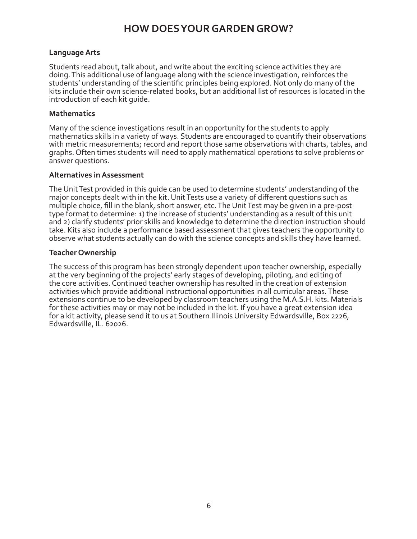#### **Language Arts**

Students read about, talk about, and write about the exciting science activities they are doing. This additional use of language along with the science investigation, reinforces the students' understanding of the scientific principles being explored. Not only do many of the kits include their own science-related books, but an additional list of resources is located in the introduction of each kit guide.

#### **Mathematics**

Many of the science investigations result in an opportunity for the students to apply mathematics skills in a variety of ways. Students are encouraged to quantify their observations with metric measurements; record and report those same observations with charts, tables, and graphs. Often times students will need to apply mathematical operations to solve problems or answer questions.

#### **Alternatives in Assessment**

The Unit Test provided in this guide can be used to determine students' understanding of the major concepts dealt with in the kit. Unit Tests use a variety of different questions such as multiple choice, fill in the blank, short answer, etc. The Unit Test may be given in a pre-post type format to determine: 1) the increase of students' understanding as a result of this unit and 2) clarify students' prior skills and knowledge to determine the direction instruction should take. Kits also include a performance based assessment that gives teachers the opportunity to observe what students actually can do with the science concepts and skills they have learned.

#### **Teacher Ownership**

The success of this program has been strongly dependent upon teacher ownership, especially at the very beginning of the projects' early stages of developing, piloting, and editing of the core activities. Continued teacher ownership has resulted in the creation of extension activities which provide additional instructional opportunities in all curricular areas. These extensions continue to be developed by classroom teachers using the M.A.S.H. kits. Materials for these activities may or may not be included in the kit. If you have a great extension idea for a kit activity, please send it to us at Southern Illinois University Edwardsville, Box 2226, Edwardsville, IL. 62026.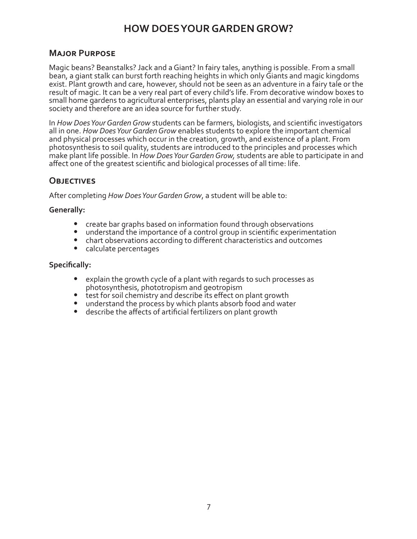#### **Major Purpose**

Magic beans? Beanstalks? Jack and a Giant? In fairy tales, anything is possible. From a small bean, a giant stalk can burst forth reaching heights in which only Giants and magic kingdoms exist. Plant growth and care, however, should not be seen as an adventure in a fairy tale or the result of magic. It can be a very real part of every child's life. From decorative window boxes to small home gardens to agricultural enterprises, plants play an essential and varying role in our society and therefore are an idea source for further study.

In *How Does Your Garden Grow* students can be farmers, biologists, and scientific investigators all in one. *How Does Your Garden Grow* enables students to explore the important chemical and physical processes which occur in the creation, growth, and existence of a plant. From photosynthesis to soil quality, students are introduced to the principles and processes which make plant life possible. In *How Does Your Garden Grow,* students are able to participate in and affect one of the greatest scientific and biological processes of all time: life.

#### **Objectives**

After completing *How Does Your Garden Grow*, a student will be able to:

#### **Generally:**

- **•** create bar graphs based on information found through observations
- **•** understand the importance of a control group in scientific experimentation
- **•** chart observations according to different characteristics and outcomes
- **•** calculate percentages

#### **Specifically:**

- **•** explain the growth cycle of a plant with regards to such processes as photosynthesis, phototropism and geotropism
- **•** test for soil chemistry and describe its effect on plant growth
- **•** understand the process by which plants absorb food and water
- **•** describe the affects of artificial fertilizers on plant growth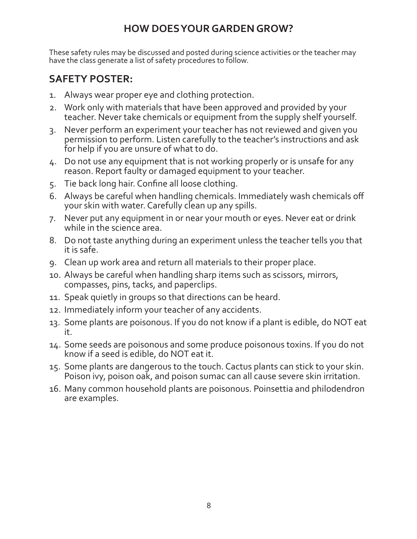These safety rules may be discussed and posted during science activities or the teacher may have the class generate a list of safety procedures to follow.

### **SAFETY POSTER:**

- 1. Always wear proper eye and clothing protection.
- 2. Work only with materials that have been approved and provided by your teacher. Never take chemicals or equipment from the supply shelf yourself.
- 3. Never perform an experiment your teacher has not reviewed and given you permission to perform. Listen carefully to the teacher's instructions and ask for help if you are unsure of what to do.
- 4. Do not use any equipment that is not working properly or is unsafe for any reason. Report faulty or damaged equipment to your teacher.
- 5. Tie back long hair. Confine all loose clothing.
- 6. Always be careful when handling chemicals. Immediately wash chemicals off your skin with water. Carefully clean up any spills.
- 7. Never put any equipment in or near your mouth or eyes. Never eat or drink while in the science area.
- 8. Do not taste anything during an experiment unless the teacher tells you that it is safe.
- 9. Clean up work area and return all materials to their proper place.
- 10. Always be careful when handling sharp items such as scissors, mirrors, compasses, pins, tacks, and paperclips.
- 11. Speak quietly in groups so that directions can be heard.
- 12. Immediately inform your teacher of any accidents.
- 13. Some plants are poisonous. If you do not know if a plant is edible, do NOT eat it.
- 14. Some seeds are poisonous and some produce poisonous toxins. If you do not know if a seed is edible, do NOT eat it.
- 15. Some plants are dangerous to the touch. Cactus plants can stick to your skin. Poison ivy, poison oak, and poison sumac can all cause severe skin irritation.
- 16. Many common household plants are poisonous. Poinsettia and philodendron are examples.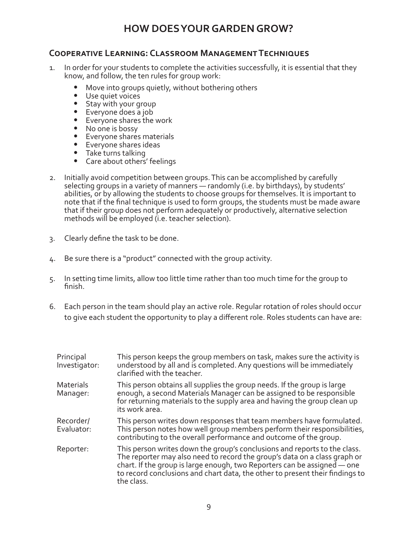#### **Cooperative Learning: Classroom Management Techniques**

- 1. In order for your students to complete the activities successfully, it is essential that they know, and follow, the ten rules for group work:
	- **•** Move into groups quietly, without bothering others
	- **•** Use quiet voices
	- **•** Stay with your group
	- Everyone does a job
	- **•** Everyone shares the work
	- **•** No one is bossy
	- **•** Everyone shares materials
	- **•** Everyone shares ideas
	- **•** Take turns talking
	- **•** Care about others' feelings
- 2. Initially avoid competition between groups. This can be accomplished by carefully selecting groups in a variety of manners — randomly (i.e. by birthdays), by students' abilities, or by allowing the students to choose groups for themselves. It is important to note that if the final technique is used to form groups, the students must be made aware that if their group does not perform adequately or productively, alternative selection methods will be employed (i.e. teacher selection).
- 3. Clearly define the task to be done.
- 4. Be sure there is a "product" connected with the group activity.
- 5. In setting time limits, allow too little time rather than too much time for the group to finish.
- 6. Each person in the team should play an active role. Regular rotation of roles should occur to give each student the opportunity to play a different role. Roles students can have are:

| Principal<br>Investigator:   | This person keeps the group members on task, makes sure the activity is<br>understood by all and is completed. Any questions will be immediately<br>clarified with the teacher.                                                                                                                                                  |
|------------------------------|----------------------------------------------------------------------------------------------------------------------------------------------------------------------------------------------------------------------------------------------------------------------------------------------------------------------------------|
| <b>Materials</b><br>Manager: | This person obtains all supplies the group needs. If the group is large<br>enough, a second Materials Manager can be assigned to be responsible<br>for returning materials to the supply area and having the group clean up<br>its work area.                                                                                    |
| Recorder/<br>Evaluator:      | This person writes down responses that team members have formulated.<br>This person notes how well group members perform their responsibilities,<br>contributing to the overall performance and outcome of the group.                                                                                                            |
| Reporter:                    | This person writes down the group's conclusions and reports to the class.<br>The reporter may also need to record the group's data on a class graph or<br>chart. If the group is large enough, two Reporters can be assigned - one<br>to record conclusions and chart data, the other to present their findings to<br>the class. |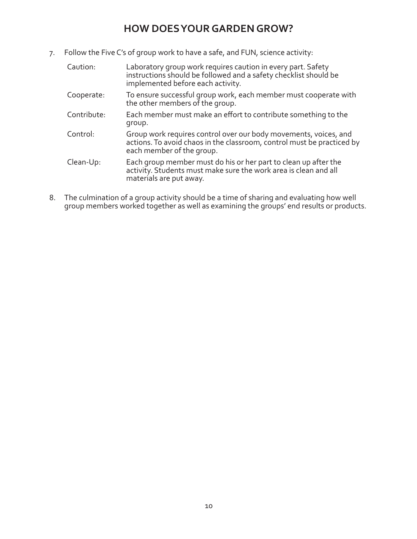7. Follow the Five C's of group work to have a safe, and FUN, science activity:

| Caution:    | Laboratory group work requires caution in every part. Safety<br>instructions should be followed and a safety checklist should be<br>implemented before each activity.   |
|-------------|-------------------------------------------------------------------------------------------------------------------------------------------------------------------------|
| Cooperate:  | To ensure successful group work, each member must cooperate with<br>the other members of the group.                                                                     |
| Contribute: | Each member must make an effort to contribute something to the<br>group.                                                                                                |
| Control:    | Group work requires control over our body movements, voices, and<br>actions. To avoid chaos in the classroom, control must be practiced by<br>each member of the group. |
| Clean-Up:   | Each group member must do his or her part to clean up after the<br>activity. Students must make sure the work area is clean and all<br>materials are put away.          |

8. The culmination of a group activity should be a time of sharing and evaluating how well group members worked together as well as examining the groups' end results or products.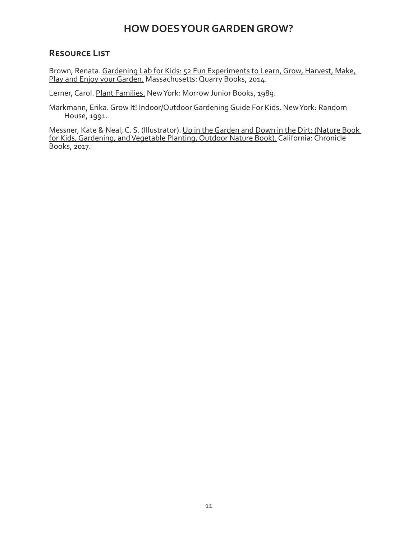#### **Resource List**

Brown, Renata. Gardening Lab for Kids: 52 Fun Experiments to Learn, Grow, Harvest, Make, Play and Enjoy your Garden. Massachusetts: Quarry Books, 2014.

Lerner, Carol. Plant Families. New York: Morrow Junior Books, 1989.

Markmann, Erika. Grow It! Indoor/Outdoor Gardening Guide For Kids. New York: Random House, 1991.

Messner, Kate & Neal, C. S. (Illustrator). Up in the Garden and Down in the Dirt: (Nature Book for Kids, Gardening, and Vegetable Planting, Outdoor Nature Book). California: Chronicle Books, 2017.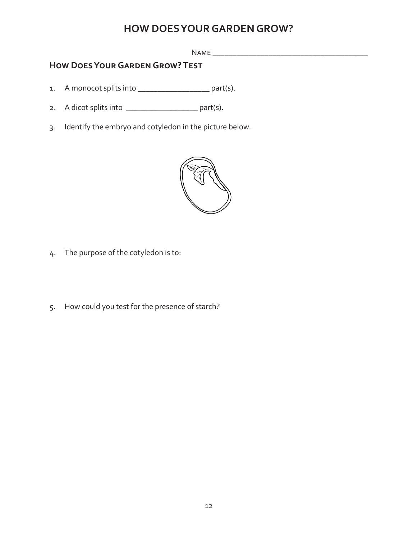Name \_\_\_\_\_\_\_\_\_\_\_\_\_\_\_\_\_\_\_\_\_\_\_\_\_\_\_\_\_\_\_\_\_\_\_\_\_\_\_

### **How Does Your Garden Grow? Test**

- 1. A monocot splits into \_\_\_\_\_\_\_\_\_\_\_\_\_\_\_\_\_\_\_\_\_\_\_ part(s).
- 2. A dicot splits into \_\_\_\_\_\_\_\_\_\_\_\_\_\_\_\_\_\_\_\_\_\_\_\_ part(s).
- 3. Identify the embryo and cotyledon in the picture below.



- 4. The purpose of the cotyledon is to:
- 5. How could you test for the presence of starch?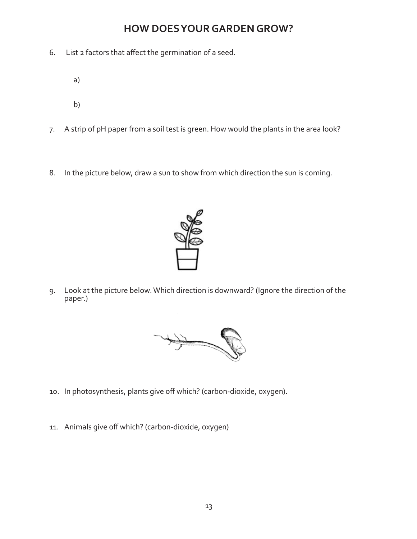- 6. List 2 factors that affect the germination of a seed.
	- a)
	- b)
- 7. A strip of pH paper from a soil test is green. How would the plants in the area look?
- 8. In the picture below, draw a sun to show from which direction the sun is coming.



9. Look at the picture below. Which direction is downward? (Ignore the direction of the paper.)



- 10. In photosynthesis, plants give off which? (carbon-dioxide, oxygen).
- 11. Animals give off which? (carbon-dioxide, oxygen)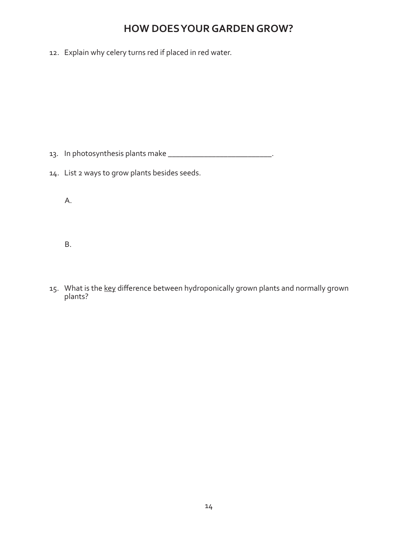12. Explain why celery turns red if placed in red water.

13. In photosynthesis plants make \_\_\_\_\_\_\_\_\_\_\_\_\_\_\_\_\_\_\_\_\_\_\_\_\_\_\_\_\_\_\_\_\_.

14. List 2 ways to grow plants besides seeds.

A.

B.

15. What is the key difference between hydroponically grown plants and normally grown plants?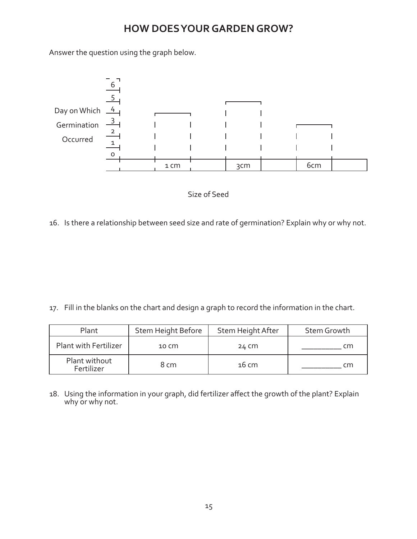Answer the question using the graph below.





16. Is there a relationship between seed size and rate of germination? Explain why or why not.

17. Fill in the blanks on the chart and design a graph to record the information in the chart.

| Plant                        | Stem Height Before | Stem Height After | Stem Growth |
|------------------------------|--------------------|-------------------|-------------|
| <b>Plant with Fertilizer</b> | $10 \, \text{cm}$  | 24 CM             | cm          |
| Plant without<br>Fertilizer  | 8 cm               | $16 \text{ cm}$   | cm          |

18. Using the information in your graph, did fertilizer affect the growth of the plant? Explain why or why not.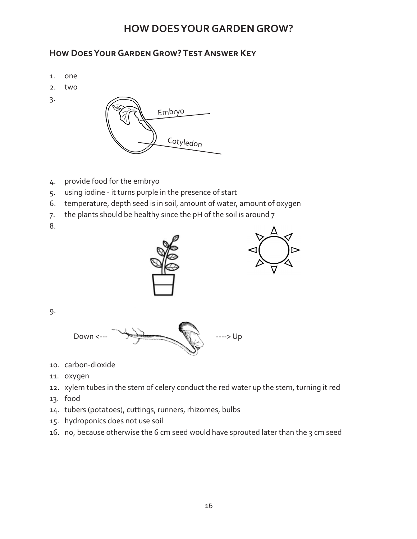### **How Does Your Garden Grow? Test Answer Key**

- 1. one
- 2. two
- 3.



- 4. provide food for the embryo
- 5. using iodine it turns purple in the presence of start
- 6. temperature, depth seed is in soil, amount of water, amount of oxygen
- 7. the plants should be healthy since the pH of the soil is around 7
- 8.





9.



- 10. carbon-dioxide
- 11. oxygen
- 12. xylem tubes in the stem of celery conduct the red water up the stem, turning it red
- 13. food
- 14. tubers (potatoes), cuttings, runners, rhizomes, bulbs
- 15. hydroponics does not use soil
- 16. no, because otherwise the 6 cm seed would have sprouted later than the 3 cm seed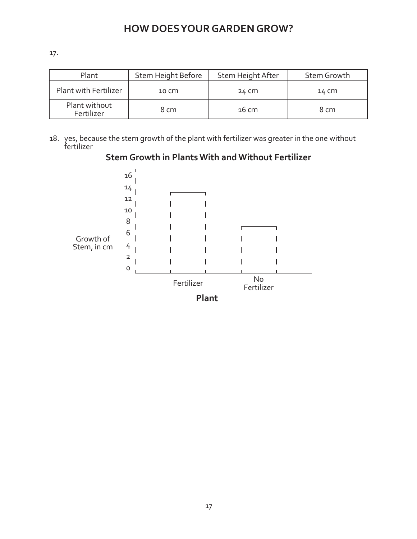17.

| Plant                        | Stem Height Before | Stem Height After | Stem Growth |
|------------------------------|--------------------|-------------------|-------------|
| <b>Plant with Fertilizer</b> | 10 CM              | 24 CM             | 14 CM       |
| Plant without<br>Fertilizer  | 8 cm               | 16 cm             | 8 cm        |

18. yes, because the stem growth of the plant with fertilizer was greater in the one without fertilizer



#### **Stem Growth in Plants With and Without Fertilizer**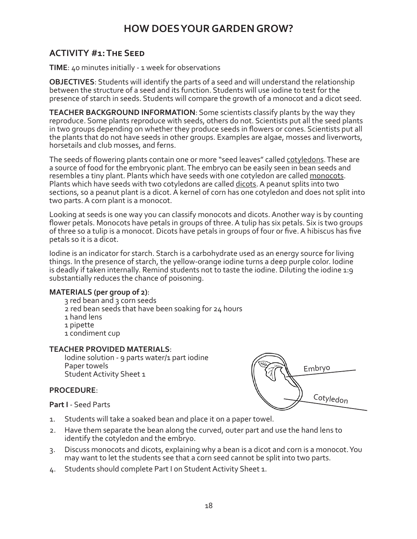### **ACTIVITY #1: The Seed**

**TIME**: 40 minutes initially - 1 week for observations

**OBJECTIVES**: Students will identify the parts of a seed and will understand the relationship between the structure of a seed and its function. Students will use iodine to test for the presence of starch in seeds. Students will compare the growth of a monocot and a dicot seed.

**TEACHER BACKGROUND INFORMATION**: Some scientists classify plants by the way they reproduce. Some plants reproduce with seeds, others do not. Scientists put all the seed plants in two groups depending on whether they produce seeds in flowers or cones. Scientists put all the plants that do not have seeds in other groups. Examples are algae, mosses and liverworts, horsetails and club mosses, and ferns.

The seeds of flowering plants contain one or more "seed leaves" called cotyledons. These are a source of food for the embryonic plant. The embryo can be easily seen in bean seeds and resembles a tiny plant. Plants which have seeds with one cotyledon are called monocots. Plants which have seeds with two cotyledons are called dicots. A peanut splits into two sections, so a peanut plant is a dicot. A kernel of corn has one cotyledon and does not split into two parts. A corn plant is a monocot.

Looking at seeds is one way you can classify monocots and dicots. Another way is by counting flower petals. Monocots have petals in groups of three. A tulip has six petals. Six is two groups of three so a tulip is a monocot. Dicots have petals in groups of four or five. A hibiscus has five petals so it is a dicot.

Iodine is an indicator for starch. Starch is a carbohydrate used as an energy source for living things. In the presence of starch, the yellow-orange iodine turns a deep purple color. Iodine is deadly if taken internally. Remind students not to taste the iodine. Diluting the iodine 1:9 substantially reduces the chance of poisoning.

#### **MATERIALS (per group of 2)**:

- 3 red bean and 3 corn seeds
- 2 red bean seeds that have been soaking for 24 hours
- 1 hand lens
- 1 pipette
- 1 condiment cup

#### **TEACHER PROVIDED MATERIALS**:

Iodine solution - 9 parts water/1 part iodine Paper towels Student Activity Sheet 1

#### **PROCEDURE**:

**Part I** - Seed Parts



- 1. Students will take a soaked bean and place it on a paper towel.
- 2. Have them separate the bean along the curved, outer part and use the hand lens to identify the cotyledon and the embryo.
- 3. Discuss monocots and dicots, explaining why a bean is a dicot and corn is a monocot. You may want to let the students see that a corn seed cannot be split into two parts.
- 4. Students should complete Part I on Student Activity Sheet 1.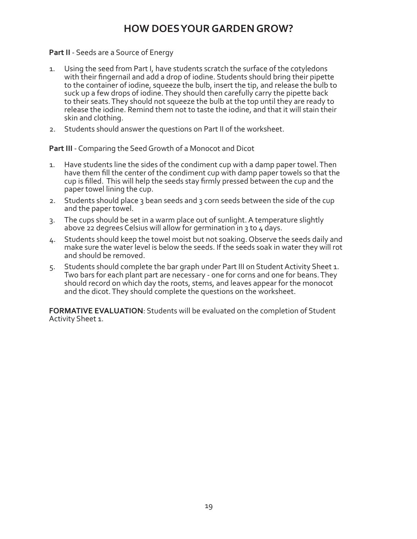#### **Part II** - Seeds are a Source of Energy

- 1. Using the seed from Part I, have students scratch the surface of the cotyledons with their fingernail and add a drop of iodine. Students should bring their pipette to the container of iodine, squeeze the bulb, insert the tip, and release the bulb to suck up a few drops of iodine. They should then carefully carry the pipette back to their seats. They should not squeeze the bulb at the top until they are ready to release the iodine. Remind them not to taste the iodine, and that it will stain their skin and clothing.
- 2. Students should answer the questions on Part II of the worksheet.

**Part III** - Comparing the Seed Growth of a Monocot and Dicot

- 1. Have students line the sides of the condiment cup with a damp paper towel. Then have them fill the center of the condiment cup with damp paper towels so that the cup is filled. This will help the seeds stay firmly pressed between the cup and the paper towel lining the cup.
- 2. Students should place 3 bean seeds and 3 corn seeds between the side of the cup and the paper towel.
- 3. The cups should be set in a warm place out of sunlight. A temperature slightly above 22 degrees Celsius will allow for germination in 3 to 4 days.
- 4. Students should keep the towel moist but not soaking. Observe the seeds daily and make sure the water level is below the seeds. If the seeds soak in water they will rot and should be removed.
- 5. Students should complete the bar graph under Part III on Student Activity Sheet 1. Two bars for each plant part are necessary - one for corns and one for beans. They should record on which day the roots, stems, and leaves appear for the monocot and the dicot. They should complete the questions on the worksheet.

**FORMATIVE EVALUATION**: Students will be evaluated on the completion of Student Activity Sheet 1.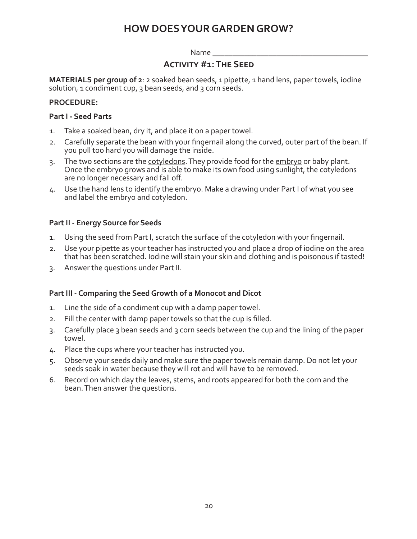#### Name

#### **Activity #1: The Seed**

**MATERIALS per group of 2**: 2 soaked bean seeds, 1 pipette, 1 hand lens, paper towels, iodine solution, 1 condiment cup, 3 bean seeds, and 3 corn seeds.

#### **PROCEDURE:**

#### **Part I - Seed Parts**

- 1. Take a soaked bean, dry it, and place it on a paper towel.
- 2. Carefully separate the bean with your fingernail along the curved, outer part of the bean. If you pull too hard you will damage the inside.
- 3. The two sections are the cotyledons. They provide food for the embryo or baby plant. Once the embryo grows and is able to make its own food using sunlight, the cotyledons are no longer necessary and fall off.
- 4. Use the hand lens to identify the embryo. Make a drawing under Part I of what you see and label the embryo and cotyledon.

#### **Part II - Energy Source for Seeds**

- 1. Using the seed from Part I, scratch the surface of the cotyledon with your fingernail.
- 2. Use your pipette as your teacher has instructed you and place a drop of iodine on the area that has been scratched. Iodine will stain your skin and clothing and is poisonous if tasted!
- 3. Answer the questions under Part II.

#### **Part III - Comparing the Seed Growth of a Monocot and Dicot**

- 1. Line the side of a condiment cup with a damp paper towel.
- 2. Fill the center with damp paper towels so that the cup is filled.
- 3. Carefully place 3 bean seeds and 3 corn seeds between the cup and the lining of the paper towel.
- 4. Place the cups where your teacher has instructed you.
- 5. Observe your seeds daily and make sure the paper towels remain damp. Do not let your seeds soak in water because they will rot and will have to be removed.
- 6. Record on which day the leaves, stems, and roots appeared for both the corn and the bean. Then answer the questions.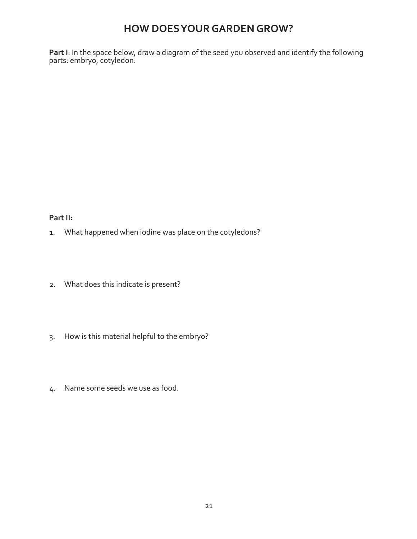**Part I**: In the space below, draw a diagram of the seed you observed and identify the following parts: embryo, cotyledon.

#### **Part II:**

- 1. What happened when iodine was place on the cotyledons?
- 2. What does this indicate is present?
- 3. How is this material helpful to the embryo?
- 4. Name some seeds we use as food.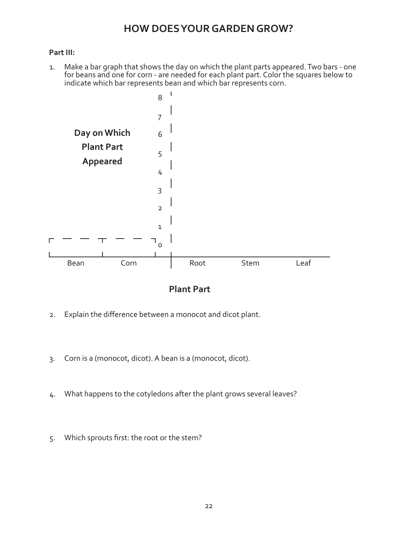#### **Part III:**

1. Make a bar graph that shows the day on which the plant parts appeared. Two bars - one for beans and one for corn - are needed for each plant part. Color the squares below to indicate which bar represents bean and which bar represents corn.



**Plant Part**

- 2. Explain the difference between a monocot and dicot plant.
- 3. Corn is a (monocot, dicot). A bean is a (monocot, dicot).
- 4. What happens to the cotyledons after the plant grows several leaves?
- 5. Which sprouts first: the root or the stem?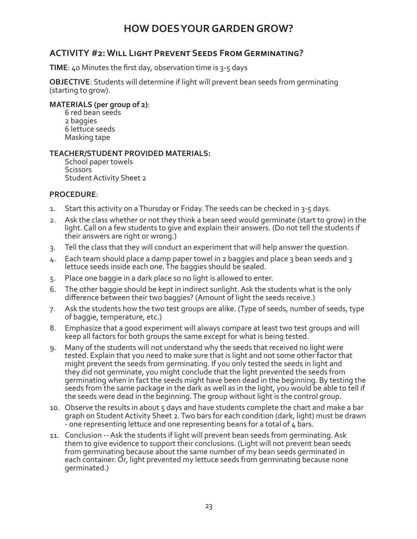#### **ACTIVITY #2: Will Light Prevent Seeds From Germinating?**

**TIME**: 40 Minutes the first day, observation time is 3-5 days

**OBJECTIVE**: Students will determine if light will prevent bean seeds from germinating (starting to grow).

#### **MATERIALS (per group of 2)**:

6 red bean seeds 2 baggies 6 lettuce seeds Masking tape

#### **TEACHER/STUDENT PROVIDED MATERIALS:**

School paper towels **Scissors** Student Activity Sheet 2

#### **PROCEDURE**:

- 1. Start this activity on a Thursday or Friday. The seeds can be checked in 3-5 days.
- 2. Ask the class whether or not they think a bean seed would germinate (start to grow) in the light. Call on a few students to give and explain their answers. (Do not tell the students if their answers are right or wrong.)
- 3. Tell the class that they will conduct an experiment that will help answer the question.
- 4. Each team should place a damp paper towel in 2 baggies and place 3 bean seeds and 3 lettuce seeds inside each one. The baggies should be sealed.
- 5. Place one baggie in a dark place so no light is allowed to enter.
- 6. The other baggie should be kept in indirect sunlight. Ask the students what is the only difference between their two baggies? (Amount of light the seeds receive.)
- 7. Ask the students how the two test groups are alike. (Type of seeds, number of seeds, type of baggie, temperature, etc.)
- 8. Emphasize that a good experiment will always compare at least two test groups and will keep all factors for both groups the same except for what is being tested.
- 9. Many of the students will not understand why the seeds that received no light were tested. Explain that you need to make sure that is light and not some other factor that might prevent the seeds from germinating. If you only tested the seeds in light and they did not germinate, you might conclude that the light prevented the seeds from germinating when in fact the seeds might have been dead in the beginning. By testing the seeds from the same package in the dark as well as in the light, you would be able to tell if the seeds were dead in the beginning. The group without light is the control group.
- 10. Observe the results in about 5 days and have students complete the chart and make a bar graph on Student Activity Sheet 2. Two bars for each condition (dark, light) must be drawn - one representing lettuce and one representing beans for a total of 4 bars.
- 11. Conclusion -- Ask the students if light will prevent bean seeds from germinating. Ask them to give evidence to support their conclusions. (Light will not prevent bean seeds from germinating because about the same number of my bean seeds germinated in each container. Or, light prevented my lettuce seeds from germinating because none germinated.)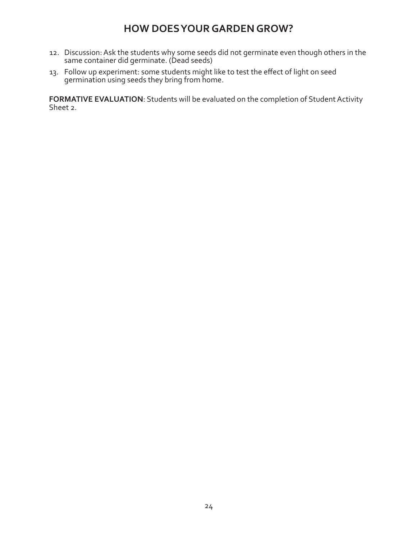- 12. Discussion: Ask the students why some seeds did not germinate even though others in the same container did germinate. (Dead seeds)
- 13. Follow up experiment: some students might like to test the effect of light on seed germination using seeds they bring from home.

**FORMATIVE EVALUATION**: Students will be evaluated on the completion of Student Activity Sheet 2.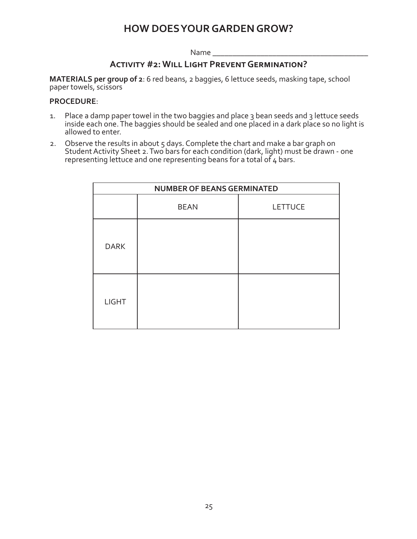Name

#### **Activity #2: Will Light Prevent Germination?**

**MATERIALS per group of 2**: 6 red beans, 2 baggies, 6 lettuce seeds, masking tape, school paper towels, scissors

#### **PROCEDURE**:

- 1. Place a damp paper towel in the two baggies and place 3 bean seeds and 3 lettuce seeds inside each one. The baggies should be sealed and one placed in a dark place so no light is allowed to enter.
- 2. Observe the results in about 5 days. Complete the chart and make a bar graph on Student Activity Sheet 2. Two bars for each condition (dark, light) must be drawn - one representing lettuce and one representing beans for a total of  $4$  bars.

| <b>NUMBER OF BEANS GERMINATED</b> |             |                |  |
|-----------------------------------|-------------|----------------|--|
|                                   | <b>BEAN</b> | <b>LETTUCE</b> |  |
| <b>DARK</b>                       |             |                |  |
| <b>LIGHT</b>                      |             |                |  |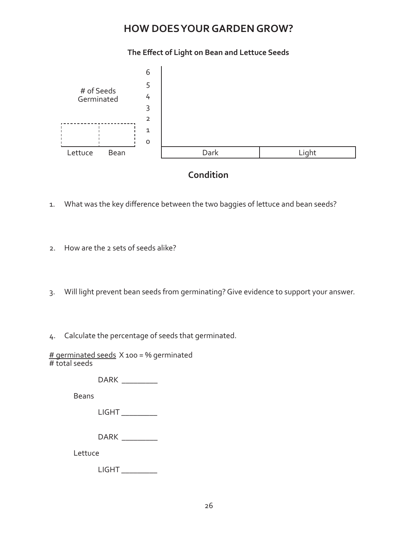#### **The Effect of Light on Bean and Lettuce Seeds**



### **Condition**

- 1. What was the key difference between the two baggies of lettuce and bean seeds?
- 2. How are the 2 sets of seeds alike?
- 3. Will light prevent bean seeds from germinating? Give evidence to support your answer.
- 4. Calculate the percentage of seeds that germinated.

# germinated seeds X 100 = % germinated # total seeds

DARK \_\_\_\_\_\_\_\_\_

Beans

| $\sqrt{2}$<br>LIUN.<br>$-$ |
|----------------------------|
|----------------------------|

DARK \_\_\_\_\_\_\_\_\_

Lettuce

LIGHT \_\_\_\_\_\_\_\_\_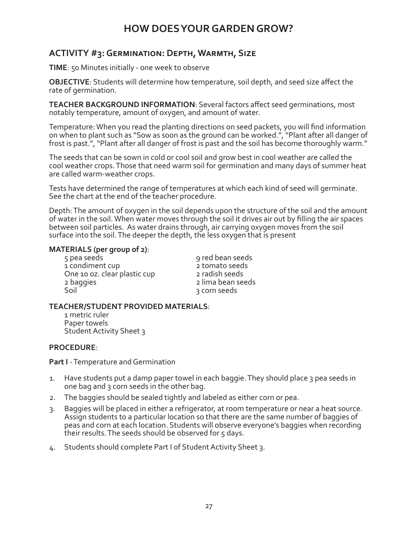### **ACTIVITY #3: Germination: Depth, Warmth, Size**

**TIME**: 50 Minutes initially - one week to observe

**OBJECTIVE**: Students will determine how temperature, soil depth, and seed size affect the rate of germination.

**TEACHER BACKGROUND INFORMATION**: Several factors affect seed germinations, most notably temperature, amount of oxygen, and amount of water.

Temperature: When you read the planting directions on seed packets, you will find information on when to plant such as "Sow as soon as the ground can be worked.", "Plant after all danger of frost is past.", "Plant after all danger of frost is past and the soil has become thoroughly warm."

The seeds that can be sown in cold or cool soil and grow best in cool weather are called the cool weather crops. Those that need warm soil for germination and many days of summer heat are called warm-weather crops.

Tests have determined the range of temperatures at which each kind of seed will germinate. See the chart at the end of the teacher procedure.

Depth: The amount of oxygen in the soil depends upon the structure of the soil and the amount of water in the soil. When water moves through the soil it drives air out by filling the air spaces between soil particles. As water drains through, air carrying oxygen moves from the soil surface into the soil. The deeper the depth, the less oxygen that is present

**MATERIALS (per group of 2)**:<br>5 pea seeds 9 red bean seeds<br>1 condiment cup 3 romato seeds 1 condiment cup<br>
One 10 oz. clear plastic cup<br>
2 radish seeds One 10 oz. clear plastic cup 2 baggies 2 lima bean seeds

a corn seeds

#### **TEACHER/STUDENT PROVIDED MATERIALS**:

1 metric ruler Paper towels Student Activity Sheet 3

#### **PROCEDURE**:

**Part I** - Temperature and Germination

- 1. Have students put a damp paper towel in each baggie. They should place 3 pea seeds in one bag and 3 corn seeds in the other bag.
- 2. The baggies should be sealed tightly and labeled as either corn or pea.
- 3. Baggies will be placed in either a refrigerator, at room temperature or near a heat source. Assign students to a particular location so that there are the same number of baggies of peas and corn at each location. Students will observe everyone's baggies when recording their results. The seeds should be observed for 5 days.
- 4. Students should complete Part I of Student Activity Sheet 3.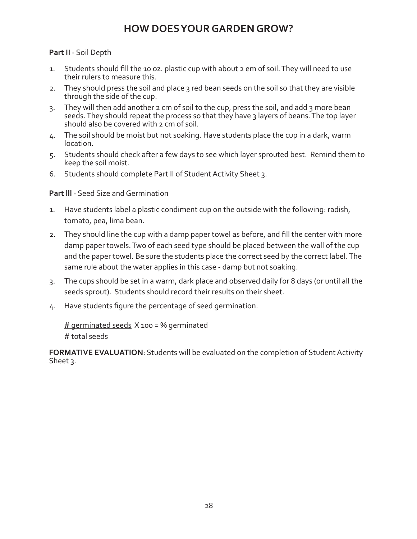#### **Part II** - Soil Depth

- 1. Students should fill the 10 oz. plastic cup with about 2 em of soil. They will need to use their rulers to measure this.
- 2. They should press the soil and place 3 red bean seeds on the soil so that they are visible through the side of the cup.
- 3. They will then add another 2 cm of soil to the cup, press the soil, and add 3 more bean seeds. They should repeat the process so that they have 3 layers of beans. The top layer should also be covered with 2 cm of soil.
- 4. The soil should be moist but not soaking. Have students place the cup in a dark, warm location.
- 5. Students should check after a few days to see which layer sprouted best. Remind them to keep the soil moist.
- 6. Students should complete Part II of Student Activity Sheet 3.

#### **Part lll** - Seed Size and Germination

- 1. Have students label a plastic condiment cup on the outside with the following: radish, tomato, pea, lima bean.
- 2. They should line the cup with a damp paper towel as before, and fill the center with more damp paper towels. Two of each seed type should be placed between the wall of the cup and the paper towel. Be sure the students place the correct seed by the correct label. The same rule about the water applies in this case - damp but not soaking.
- 3. The cups should be set in a warm, dark place and observed daily for 8 days (or until all the seeds sprout). Students should record their results on their sheet.
- 4. Have students figure the percentage of seed germination.

 $#$  germinated seeds  $X$  100 = % germinated # total seeds

**FORMATIVE EVALUATION**: Students will be evaluated on the completion of Student Activity Sheet 3.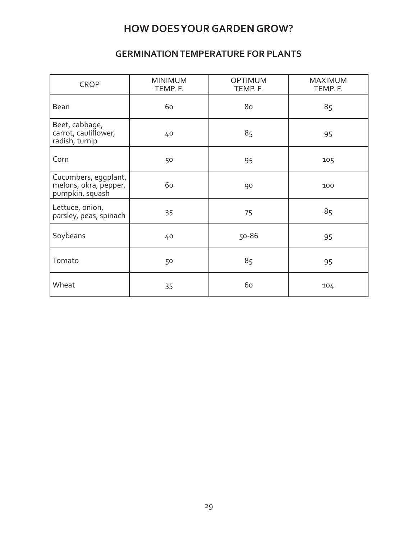### **GERMINATION TEMPERATURE FOR PLANTS**

| <b>CROP</b>                                                      | <b>MINIMUM</b><br>TEMP. F. | <b>OPTIMUM</b><br>TEMP. F. | <b>MAXIMUM</b><br>TEMP. F. |
|------------------------------------------------------------------|----------------------------|----------------------------|----------------------------|
| Bean                                                             | 60                         | 80                         | 85                         |
| Beet, cabbage,<br>carrot, cauliflower,<br>radish, turnip         | 40                         | 85                         | 95                         |
| Corn                                                             | 50                         | 95                         | 105                        |
| Cucumbers, eggplant,<br>melons, okra, pepper,<br>pumpkin, squash | 60                         | 90                         | 100                        |
| Lettuce, onion,<br>parsley, peas, spinach                        | 35                         | 75                         | 85                         |
| Soybeans                                                         | 40                         | 50-86                      | 95                         |
| Tomato                                                           | 50                         | 85                         | 95                         |
| Wheat                                                            | 35                         | 60                         | 104                        |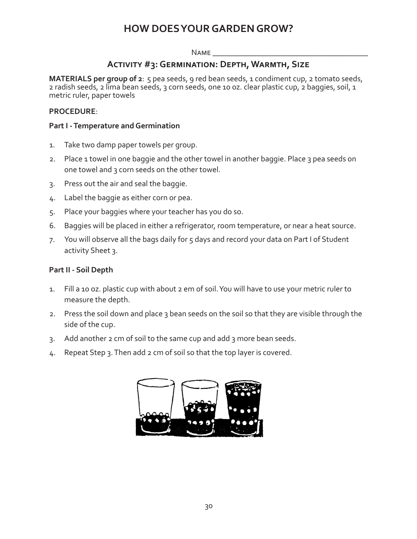#### Name \_\_\_\_\_\_\_\_\_\_\_\_\_\_\_\_\_\_\_\_\_\_\_\_\_\_\_\_\_\_\_\_\_\_\_\_\_\_\_

#### **Activity #3: Germination: Depth, Warmth, Size**

**MATERIALS per group of 2**: 5 pea seeds, 9 red bean seeds, 1 condiment cup, 2 tomato seeds, 2 radish seeds, 2 lima bean seeds, 3 corn seeds, one 10 oz. clear plastic cup, 2 baggies, soil, 1 metric ruler, paper towels

#### **PROCEDURE**:

#### **Part I - Temperature and Germination**

- 1. Take two damp paper towels per group.
- 2. Place 1 towel in one baggie and the other towel in another baggie. Place 3 pea seeds on one towel and 3 corn seeds on the other towel.
- 3. Press out the air and seal the baggie.
- 4. Label the baggie as either corn or pea.
- 5. Place your baggies where your teacher has you do so.
- 6. Baggies will be placed in either a refrigerator, room temperature, or near a heat source.
- 7. You will observe all the bags daily for 5 days and record your data on Part I of Student activity Sheet 3.

#### **Part II - Soil Depth**

- 1. Fill a 10 oz. plastic cup with about 2 em of soil. You will have to use your metric ruler to measure the depth.
- 2. Press the soil down and place 3 bean seeds on the soil so that they are visible through the side of the cup.
- 3. Add another 2 cm of soil to the same cup and add 3 more bean seeds.
- 4. Repeat Step 3. Then add 2 cm of soil so that the top layer is covered.

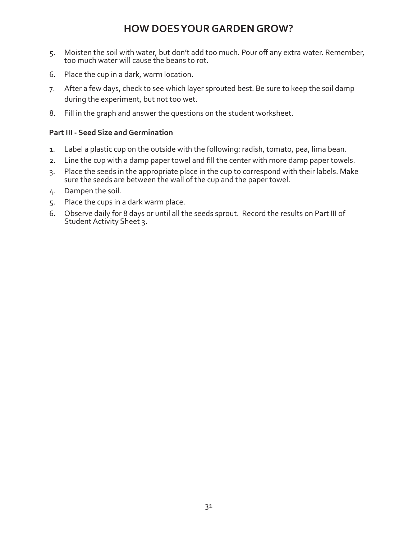- 5. Moisten the soil with water, but don't add too much. Pour off any extra water. Remember, too much water will cause the beans to rot.
- 6. Place the cup in a dark, warm location.
- 7. After a few days, check to see which layer sprouted best. Be sure to keep the soil damp during the experiment, but not too wet.
- 8. Fill in the graph and answer the questions on the student worksheet.

#### **Part III - Seed Size and Germination**

- 1. Label a plastic cup on the outside with the following: radish, tomato, pea, lima bean.
- 2. Line the cup with a damp paper towel and fill the center with more damp paper towels.
- 3. Place the seeds in the appropriate place in the cup to correspond with their labels. Make sure the seeds are between the wall of the cup and the paper towel.
- 4. Dampen the soil.
- 5. Place the cups in a dark warm place.
- 6. Observe daily for 8 days or until all the seeds sprout. Record the results on Part III of Student Activity Sheet 3.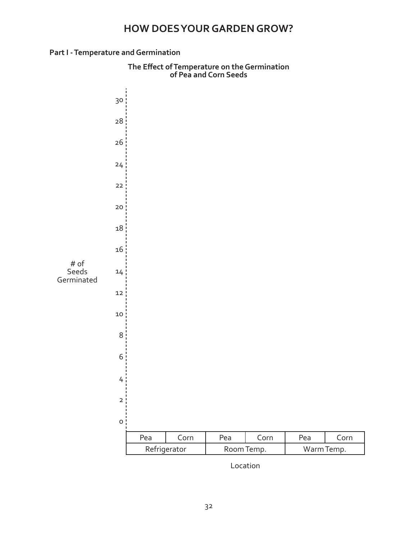#### **Part I - Temperature and Germination**



**The Effect of Temperature on the Germination of Pea and Corn Seeds**

Location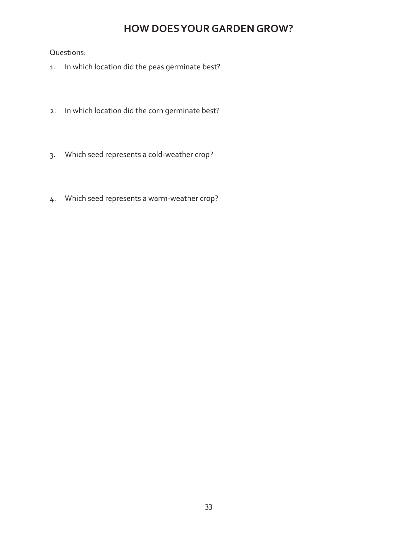Questions:

- 1. In which location did the peas germinate best?
- 2. In which location did the corn germinate best?
- 3. Which seed represents a cold-weather crop?
- 4. Which seed represents a warm-weather crop?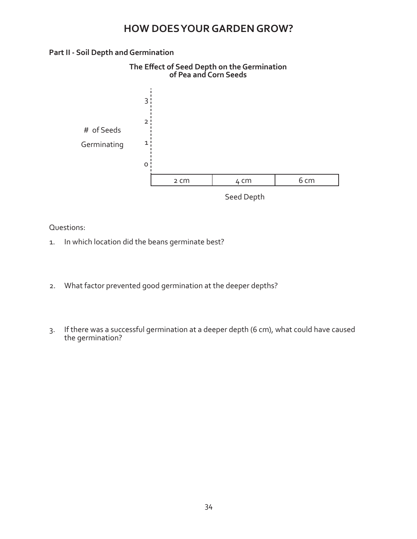#### **Part II - Soil Depth and Germination**



Questions:

- 1. In which location did the beans germinate best?
- 2. What factor prevented good germination at the deeper depths?
- 3. If there was a successful germination at a deeper depth (6 cm), what could have caused the germination?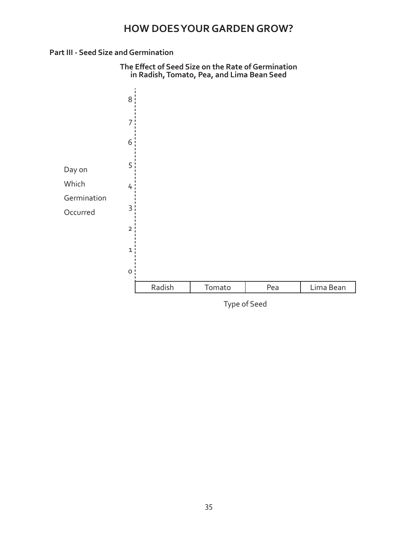#### **Part III - Seed Size and Germination**



Type of Seed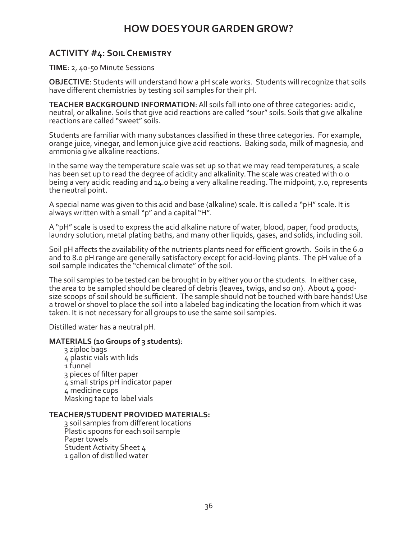#### **ACTIVITY #4: Soil Chemistry**

**TIME**: 2, 40-50 Minute Sessions

**OBJECTIVE**: Students will understand how a pH scale works. Students will recognize that soils have different chemistries by testing soil samples for their pH.

**TEACHER BACKGROUND INFORMATION**: All soils fall into one of three categories: acidic, neutral, or alkaline. Soils that give acid reactions are called "sour" soils. Soils that give alkaline reactions are called "sweet" soils.

Students are familiar with many substances classified in these three categories. For example, orange juice, vinegar, and lemon juice give acid reactions. Baking soda, milk of magnesia, and ammonia give alkaline reactions.

In the same way the temperature scale was set up so that we may read temperatures, a scale has been set up to read the degree of acidity and alkalinity. The scale was created with 0.0 being a very acidic reading and 14.0 being a very alkaline reading. The midpoint, 7.0, represents the neutral point.

A special name was given to this acid and base (alkaline) scale. It is called a "pH" scale. It is always written with a small "p" and a capital "H".

A "pH" scale is used to express the acid alkaline nature of water, blood, paper, food products, laundry solution, metal plating baths, and many other liquids, gases, and solids, including soil.

Soil pH affects the availability of the nutrients plants need for efficient growth. Soils in the 6.0 and to 8.0 pH range are generally satisfactory except for acid-loving plants. The pH value of a soil sample indicates the "chemical climate" of the soil.

The soil samples to be tested can be brought in by either you or the students. In either case, the area to be sampled should be cleared of debris (leaves, twigs, and so on). About 4 goodsize scoops of soil should be sufficient. The sample should not be touched with bare hands! Use a trowel or shovel to place the soil into a labeled bag indicating the location from which it was taken. It is not necessary for all groups to use the same soil samples.

Distilled water has a neutral pH.

#### **MATERIALS (10 Groups of 3 students)**:

3 ziploc bags 4 plastic vials with lids 1 funnel 3 pieces of filter paper 4 small strips pH indicator paper 4 medicine cups Masking tape to label vials

#### **TEACHER/STUDENT PROVIDED MATERIALS:**

3 soil samples from different locations Plastic spoons for each soil sample Paper towels Student Activity Sheet 4 1 gallon of distilled water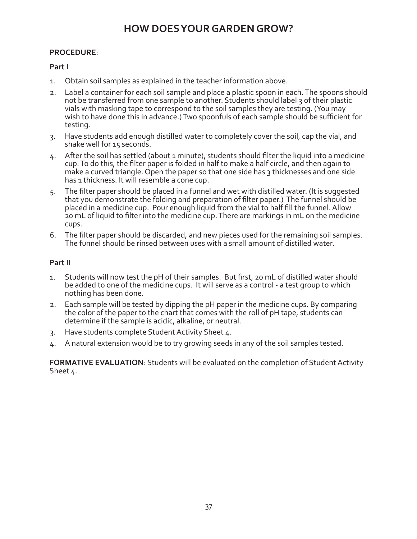#### **PROCEDURE**:

#### **Part I**

- 1. Obtain soil samples as explained in the teacher information above.
- 2. Label a container for each soil sample and place a plastic spoon in each. The spoons should not be transferred from one sample to another. Students should label 3 of their plastic vials with masking tape to correspond to the soil samples they are testing. (You may wish to have done this in advance.) Two spoonfuls of each sample should be sufficient for testing.
- 3. Have students add enough distilled water to completely cover the soil, cap the vial, and shake well for 15 seconds.
- 4. After the soil has settled (about 1 minute), students should filter the liquid into a medicine cup. To do this, the filter paper is folded in half to make a half circle, and then again to make a curved triangle. Open the paper so that one side has 3 thicknesses and one side has 1 thickness. It will resemble a cone cup.
- 5. The filter paper should be placed in a funnel and wet with distilled water. (It is suggested that you demonstrate the folding and preparation of filter paper.) The funnel should be placed in a medicine cup. Pour enough liquid from the vial to half fill the funnel. Allow 20 mL of liquid to filter into the medicine cup. There are markings in mL on the medicine cups.
- 6. The filter paper should be discarded, and new pieces used for the remaining soil samples. The funnel should be rinsed between uses with a small amount of distilled water.

#### **Part II**

- 1. Students will now test the pH of their samples. But first, 20 mL of distilled water should be added to one of the medicine cups. It will serve as a control - a test group to which nothing has been done.
- 2. Each sample will be tested by dipping the pH paper in the medicine cups. By comparing the color of the paper to the chart that comes with the roll of pH tape, students can determine if the sample is acidic, alkaline, or neutral.
- 3. Have students complete Student Activity Sheet 4.
- 4. A natural extension would be to try growing seeds in any of the soil samples tested.

**FORMATIVE EVALUATION**: Students will be evaluated on the completion of Student Activity Sheet 4.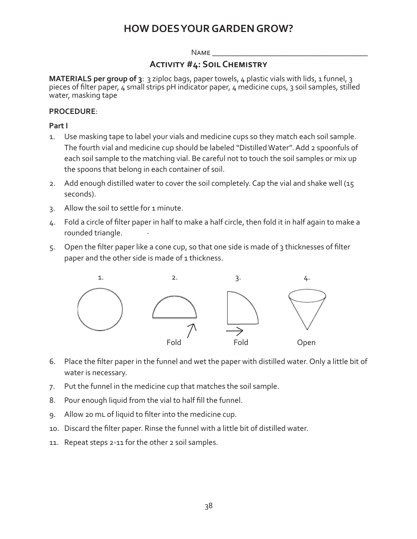#### $N$ AME

#### **Activity #4: Soil Chemistry**

**MATERIALS per group of 3**: 3 ziploc bags, paper towels, 4 plastic vials with lids, 1 funnel, 3 pieces of filter paper, 4 small strips pH indicator paper, 4 medicine cups, 3 soil samples, stilled water, masking tape

#### **PROCEDURE**:

#### **Part I**

- 1. Use masking tape to label your vials and medicine cups so they match each soil sample. The fourth vial and medicine cup should be labeled "Distilled Water". Add 2 spoonfuls of each soil sample to the matching vial. Be careful not to touch the soil samples or mix up the spoons that belong in each container of soil.
- 2. Add enough distilled water to cover the soil completely. Cap the vial and shake well (15 seconds).
- 3. Allow the soil to settle for 1 minute.
- 4. Fold a circle of filter paper in half to make a half circle, then fold it in half again to make a rounded triangle.
- 5. Open the filter paper like a cone cup, so that one side is made of 3 thicknesses of filter paper and the other side is made of 1 thickness.



- 6. Place the filter paper in the funnel and wet the paper with distilled water. Only a little bit of water is necessary.
- 7. Put the funnel in the medicine cup that matches the soil sample.
- 8. Pour enough liquid from the vial to half fill the funnel.
- 9. Allow 20 mL of liquid to filter into the medicine cup.
- 10. Discard the filter paper. Rinse the funnel with a little bit of distilled water.
- 11. Repeat steps 2-11 for the other 2 soil samples.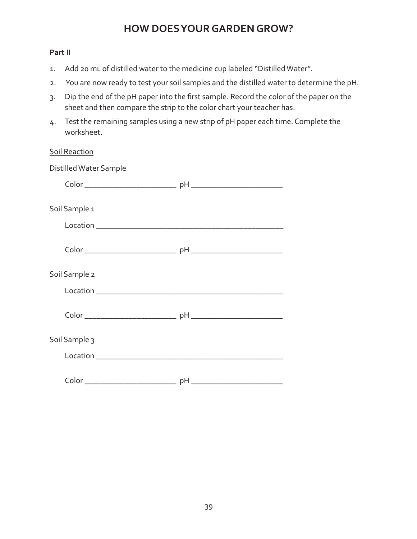#### **Part II**

- 1. Add 20 mL of distilled water to the medicine cup labeled "Distilled Water".
- 2. You are now ready to test your soil samples and the distilled water to determine the pH.
- 3. Dip the end of the pH paper into the first sample. Record the color of the paper on the sheet and then compare the strip to the color chart your teacher has.
- 4. Test the remaining samples using a new strip of pH paper each time. Complete the worksheet.

| <b>Soil Reaction</b>   |  |
|------------------------|--|
| Distilled Water Sample |  |
|                        |  |
| Soil Sample 1          |  |
|                        |  |
|                        |  |
| Soil Sample 2          |  |
|                        |  |
|                        |  |
| Soil Sample 3          |  |
|                        |  |
|                        |  |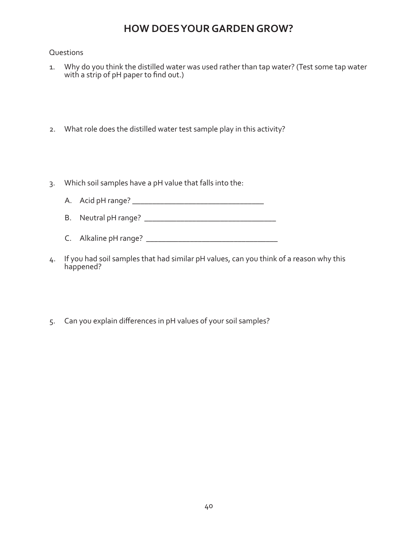#### Questions

- 1. Why do you think the distilled water was used rather than tap water? (Test some tap water with a strip of pH paper to find out.)
- 2. What role does the distilled water test sample play in this activity?
- 3. Which soil samples have a pH value that falls into the:
	- A. Acid pH range? \_\_\_\_\_\_\_\_\_\_\_\_\_\_\_\_\_\_\_\_\_\_\_\_\_\_\_\_\_\_\_\_\_
	- B. Neutral pH range? \_\_\_\_\_\_\_\_\_\_\_\_\_\_\_\_\_\_\_\_\_\_\_\_\_\_\_\_\_\_\_\_\_
	- C. Alkaline pH range? \_\_\_\_\_\_\_\_\_\_\_\_\_\_\_\_\_\_\_\_\_\_\_\_\_\_\_\_\_\_\_\_\_
- 4. If you had soil samples that had similar pH values, can you think of a reason why this happened?
- 5. Can you explain differences in pH values of your soil samples?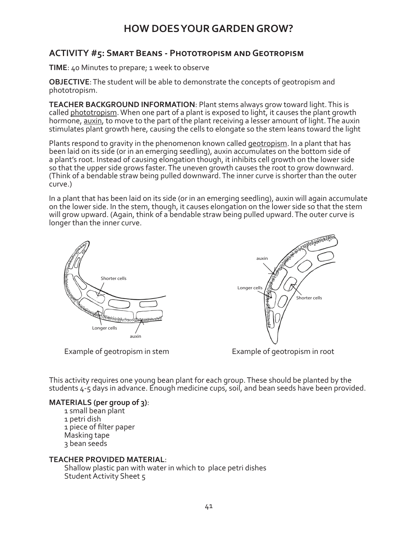### **ACTIVITY #5: Smart Beans - Phototropism and Geotropism**

**TIME**: 40 Minutes to prepare; 1 week to observe

**OBJECTIVE**: The student will be able to demonstrate the concepts of geotropism and phototropism.

**TEACHER BACKGROUND INFORMATION**: Plant stems always grow toward light. This is called phototropism. When one part of a plant is exposed to light, it causes the plant growth hormone, auxin, to move to the part of the plant receiving a lesser amount of light. The auxin stimulates plant growth here, causing the cells to elongate so the stem leans toward the light

Plants respond to gravity in the phenomenon known called geotropism. In a plant that has been laid on its side (or in an emerging seedling), auxin accumulates on the bottom side of a plant's root. Instead of causing elongation though, it inhibits cell growth on the lower side so that the upper side grows faster. The uneven growth causes the root to grow downward. (Think of a bendable straw being pulled downward. The inner curve is shorter than the outer curve.)

In a plant that has been laid on its side (or in an emerging seedling), auxin will again accumulate on the lower side. In the stem, though, it causes elongation on the lower side so that the stem will grow upward. (Again, think of a bendable straw being pulled upward. The outer curve is longer than the inner curve.



Example of geotropism in stem Example of geotropism in root



This activity requires one young bean plant for each group. These should be planted by the students 4-5 days in advance. Enough medicine cups, soil, and bean seeds have been provided.

#### **MATERIALS (per group of 3)**:

1 small bean plant 1 petri dish 1 piece of filter paper Masking tape 3 bean seeds

#### **TEACHER PROVIDED MATERIAL**:

Shallow plastic pan with water in which to place petri dishes Student Activity Sheet 5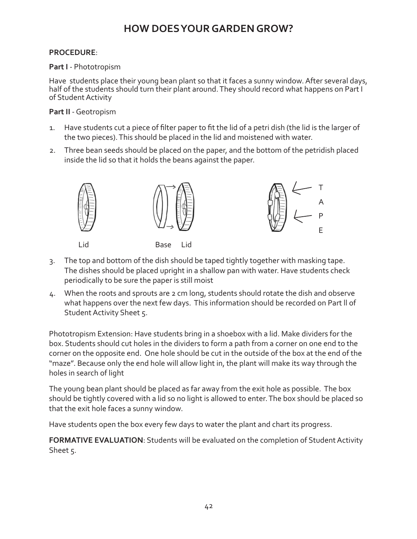#### **PROCEDURE**:

#### **Part I** - Phototropism

Have students place their young bean plant so that it faces a sunny window. After several days, half of the students should turn their plant around. They should record what happens on Part I of Student Activity

#### **Part II** - Geotropism

- 1. Have students cut a piece of filter paper to fit the lid of a petri dish (the lid is the larger of the two pieces). This should be placed in the lid and moistened with water.
- 2. Three bean seeds should be placed on the paper, and the bottom of the petridish placed inside the lid so that it holds the beans against the paper.



- 3. The top and bottom of the dish should be taped tightly together with masking tape. The dishes should be placed upright in a shallow pan with water. Have students check periodically to be sure the paper is still moist
- 4. When the roots and sprouts are 2 cm long, students should rotate the dish and observe what happens over the next few days. This information should be recorded on Part ll of Student Activity Sheet 5.

Phototropism Extension: Have students bring in a shoebox with a lid. Make dividers for the box. Students should cut holes in the dividers to form a path from a corner on one end to the corner on the opposite end. One hole should be cut in the outside of the box at the end of the "maze". Because only the end hole will allow light in, the plant will make its way through the holes in search of light

The young bean plant should be placed as far away from the exit hole as possible. The box should be tightly covered with a lid so no light is allowed to enter. The box should be placed so that the exit hole faces a sunny window.

Have students open the box every few days to water the plant and chart its progress.

**FORMATIVE EVALUATION**: Students will be evaluated on the completion of Student Activity Sheet 5.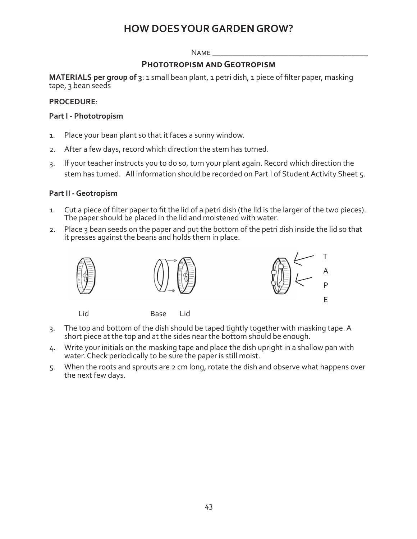#### $N$ AME

#### **Phototropism and Geotropism**

**MATERIALS per group of 3**: 1 small bean plant, 1 petri dish, 1 piece of filter paper, masking tape, 3 bean seeds

#### **PROCEDURE**:

#### **Part I - Phototropism**

- 1. Place your bean plant so that it faces a sunny window.
- 2. After a few days, record which direction the stem has turned.
- 3. If your teacher instructs you to do so, turn your plant again. Record which direction the stem has turned. All information should be recorded on Part I of Student Activity Sheet 5.

#### **Part II - Geotropism**

- 1. Cut a piece of filter paper to fit the lid of a petri dish (the lid is the larger of the two pieces). The paper should be placed in the lid and moistened with water.
- 2. Place 3 bean seeds on the paper and put the bottom of the petri dish inside the lid so that it presses against the beans and holds them in place.



- 3. The top and bottom of the dish should be taped tightly together with masking tape. A short piece at the top and at the sides near the bottom should be enough.
- 4. Write your initials on the masking tape and place the dish upright in a shallow pan with water. Check periodically to be sure the paper is still moist.
- 5. When the roots and sprouts are 2 cm long, rotate the dish and observe what happens over the next few days.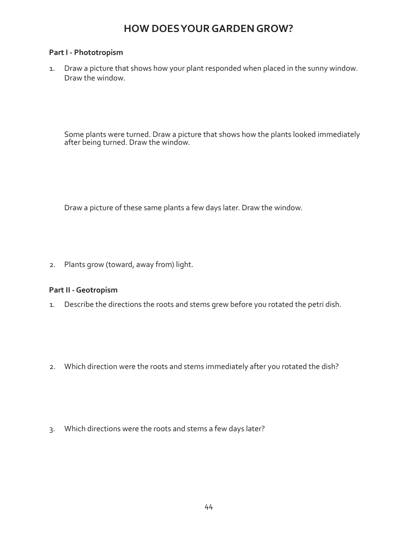#### **Part I - Phototropism**

1. Draw a picture that shows how your plant responded when placed in the sunny window. Draw the window.

Some plants were turned. Draw a picture that shows how the plants looked immediately after being turned. Draw the window.

Draw a picture of these same plants a few days later. Draw the window.

2. Plants grow (toward, away from) light.

#### **Part II - Geotropism**

- 1. Describe the directions the roots and stems grew before you rotated the petri dish.
- 2. Which direction were the roots and stems immediately after you rotated the dish?
- 3. Which directions were the roots and stems a few days later?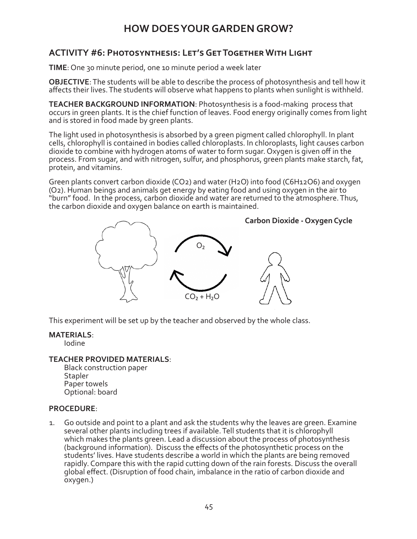### **ACTIVITY #6: Photosynthesis: Let's Get Together With Light**

**TIME**: One 30 minute period, one 10 minute period a week later

**OBJECTIVE**: The students will be able to describe the process of photosynthesis and tell how it affects their lives. The students will observe what happens to plants when sunlight is withheld.

**TEACHER BACKGROUND INFORMATION**: Photosynthesis is a food-making process that occurs in green plants. It is the chief function of leaves. Food energy originally comes from light and is stored in food made by green plants.

The light used in photosynthesis is absorbed by a green pigment called chlorophyll. In plant cells, chlorophyll is contained in bodies called chloroplasts. In chloroplasts, light causes carbon dioxide to combine with hydrogen atoms of water to form sugar. Oxygen is given off in the process. From sugar, and with nitrogen, sulfur, and phosphorus, green plants make starch, fat, protein, and vitamins.

Green plants convert carbon dioxide (CO2) and water (H2O) into food (C6H12O6) and oxygen (O2). Human beings and animals get energy by eating food and using oxygen in the air to "burn" food. In the process, carbon dioxide and water are returned to the atmosphere. Thus, the carbon dioxide and oxygen balance on earth is maintained.



This experiment will be set up by the teacher and observed by the whole class.

#### **MATERIALS**:

Iodine

#### **TEACHER PROVIDED MATERIALS**:

Black construction paper **Stapler** Paper towels Optional: board

#### **PROCEDURE**:

1. Go outside and point to a plant and ask the students why the leaves are green. Examine several other plants including trees if available. Tell students that it is chlorophyll which makes the plants green. Lead a discussion about the process of photosynthesis (background information). Discuss the effects of the photosynthetic process on the students' lives. Have students describe a world in which the plants are being removed rapidly. Compare this with the rapid cutting down of the rain forests. Discuss the overall global effect. (Disruption of food chain, imbalance in the ratio of carbon dioxide and oxygen.)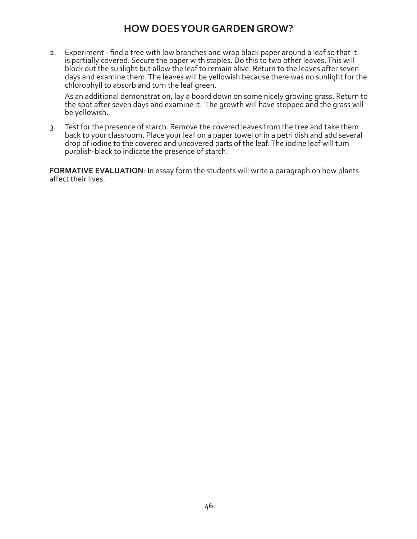2. Experiment - find a tree with low branches and wrap black paper around a leaf so that it is partially covered. Secure the paper with staples. Do this to two other leaves. This will block out the sunlight but allow the leaf to remain alive. Return to the leaves after seven days and examine them. The leaves will be yellowish because there was no sunlight for the chlorophyll to absorb and turn the leaf green.

As an additional demonstration, lay a board down on some nicely growing grass. Return to the spot after seven days and examine it. The growth will have stopped and the grass will be yellowish.

3. Test for the presence of starch. Remove the covered leaves from the tree and take them back to your classroom. Place your leaf on a paper towel or in a petri dish and add several drop of iodine to the covered and uncovered parts of the leaf. The iodine leaf will tum purplish-black to indicate the presence of starch.

**FORMATIVE EVALUATION**: In essay form the students will write a paragraph on how plants affect their lives.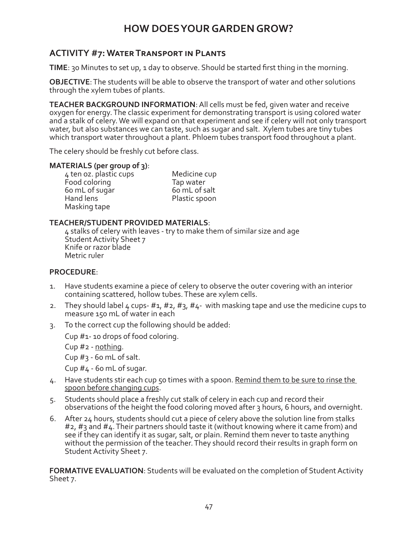### **ACTIVITY #7: Water Transport in Plants**

**TIME**: 30 Minutes to set up, 1 day to observe. Should be started first thing in the morning.

**OBJECTIVE**: The students will be able to observe the transport of water and other solutions through the xylem tubes of plants.

**TEACHER BACKGROUND INFORMATION**: All cells must be fed, given water and receive oxygen for energy. The classic experiment for demonstrating transport is using colored water and a stalk of celery. We will expand on that experiment and see if celery will not only transport water, but also substances we can taste, such as sugar and salt. Xylem tubes are tiny tubes which transport water throughout a plant. Phloem tubes transport food throughout a plant.

The celery should be freshly cut before class.

#### **MATERIALS (per group of 3)**:

4 ten oz. plastic cups Medicine cup Food coloring Tap water<br>
Foom L of sugar bom L of salt 60 mL of sugar<br>Hand lens Masking tape

Plastic spoon

#### **TEACHER/STUDENT PROVIDED MATERIALS**:

4 stalks of celery with leaves - try to make them of similar size and age Student Activity Sheet 7 Knife or razor blade Metric ruler

#### **PROCEDURE**:

- 1. Have students examine a piece of celery to observe the outer covering with an interior containing scattered, hollow tubes. These are xylem cells.
- 2. They should label 4 cups- #1, #2, #3, #4- with masking tape and use the medicine cups to measure 150 mL of water in each
- 3. To the correct cup the following should be added:

Cup #1- 10 drops of food coloring.

Cup  $#_2$  - nothing.

Cup #3 - 60 mL of salt.

Cup #4 - 60 mL of sugar.

- 4. Have students stir each cup 50 times with a spoon. Remind them to be sure to rinse the spoon before changing cups.
- 5. Students should place a freshly cut stalk of celery in each cup and record their observations of the height the food coloring moved after 3 hours, 6 hours, and overnight.
- 6. After 24 hours, students should cut a piece of celery above the solution line from stalks #2, #3 and #4. Their partners should taste it (without knowing where it came from) and see if they can identify it as sugar, salt, or plain. Remind them never to taste anything without the permission of the teacher. They should record their results in graph form on Student Activity Sheet 7.

**FORMATIVE EVALUATION**: Students will be evaluated on the completion of Student Activity Sheet 7.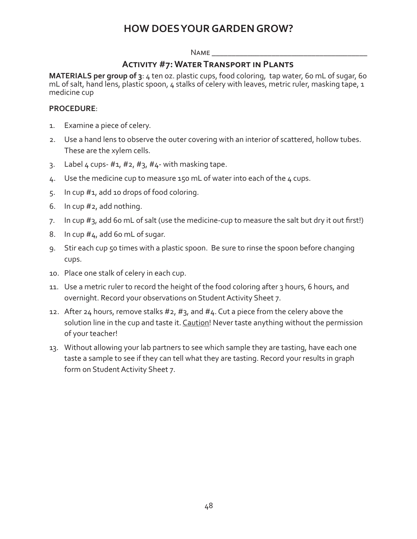#### $N$ AME

#### **Activity #7: Water Transport in Plants**

**MATERIALS per group of 3**: 4 ten oz. plastic cups, food coloring, tap water, 60 mL of sugar, 60 mL of salt, hand lens, plastic spoon, 4 stalks of celery with leaves, metric ruler, masking tape, 1 medicine cup

#### **PROCEDURE**:

- 1. Examine a piece of celery.
- 2. Use a hand lens to observe the outer covering with an interior of scattered, hollow tubes. These are the xylem cells.
- 3. Label 4 cups-  $\#1$ ,  $\#2$ ,  $\#3$ ,  $\#4$  with masking tape.
- 4. Use the medicine cup to measure 150 mL of water into each of the 4 cups.
- 5. In cup #1, add 10 drops of food coloring.
- 6. In cup #2, add nothing.
- 7. In cup #3, add 60 mL of salt (use the medicine-cup to measure the salt but dry it out first!)
- 8. In cup  $#4$ , add 60 mL of sugar.
- 9. Stir each cup 50 times with a plastic spoon. Be sure to rinse the spoon before changing cups.
- 10. Place one stalk of celery in each cup.
- 11. Use a metric ruler to record the height of the food coloring after 3 hours, 6 hours, and overnight. Record your observations on Student Activity Sheet 7.
- 12. After 24 hours, remove stalks  $#2, #3$ , and  $#4$ . Cut a piece from the celery above the solution line in the cup and taste it. Caution! Never taste anything without the permission of your teacher!
- 13. Without allowing your lab partners to see which sample they are tasting, have each one taste a sample to see if they can tell what they are tasting. Record your results in graph form on Student Activity Sheet 7.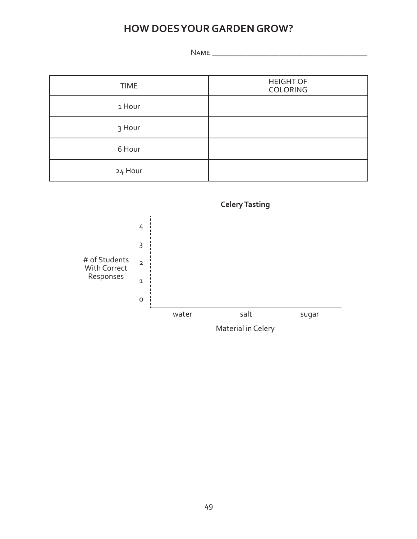Name \_\_\_\_\_\_\_\_\_\_\_\_\_\_\_\_\_\_\_\_\_\_\_\_\_\_\_\_\_\_\_\_\_\_\_\_\_\_\_

| <b>TIME</b> | <b>HEIGHT OF</b><br><b>COLORING</b> |
|-------------|-------------------------------------|
| 1 Hour      |                                     |
| 3 Hour      |                                     |
| 6 Hour      |                                     |
| 24 Hour     |                                     |

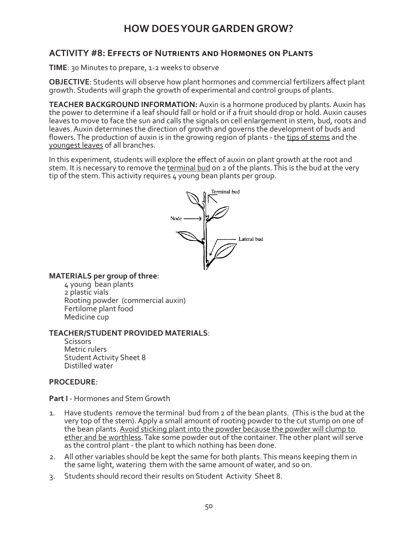#### **ACTIVITY #8: Effects of Nutrients and Hormones on Plants**

**TIME**: 30 Minutes to prepare, 1-2 weeks to observe

**OBJECTIVE**: Students will observe how plant hormones and commercial fertilizers affect plant growth. Students will graph the growth of experimental and control groups of plants.

**TEACHER BACKGROUND INFORMATION:** Auxin is a hormone produced by plants. Auxin has the power to determine if a leaf should fall or hold or if a fruit should drop or hold. Auxin causes leaves to move to face the sun and calls the signals on cell enlargement in stem, bud, roots and leaves. Auxin determines the direction of growth and governs the development of buds and flowers. The production of auxin is in the growing region of plants - the tips of stems and the youngest leaves of all branches.

In this experiment, students will explore the effect of auxin on plant growth at the root and stem. It is necessary to remove the terminal bud on 2 of the plants. This is the bud at the very tip of the stem. This activity requires 4 young bean plants per group.



**MATERIALS per group of three**:

4 young bean plants 2 plastic vials Rooting powder (commercial auxin) Fertilome plant food Medicine cup

#### **TEACHER/STUDENT PROVIDED MATERIALS**:

Scissors Metric rulers Student Activity Sheet 8 Distilled water

#### **PROCEDURE**:

**Part I** - Hormones and Stem Growth

- 1. Have students remove the terminal bud from 2 of the bean plants. (This is the bud at the very top of the stem). Apply a small amount of rooting powder to the cut stump on one of the bean plants. Avoid sticking plant into the powder because the powder will clump to ether and be worthless. Take some powder out of the container. The other plant will serve as the control plant - the plant to which nothing has been done.
- 2. All other variables should be kept the same for both plants. This means keeping them in the same light, watering them with the same amount of water, and so on.
- 3. Students should record their results on Student Activity Sheet 8.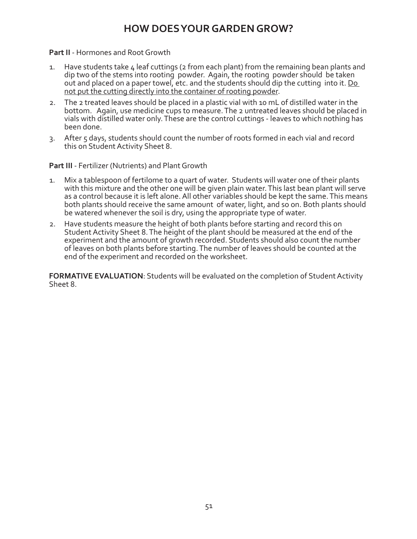#### **Part II** - Hormones and Root Growth

- 1. Have students take 4 leaf cuttings (2 from each plant) from the remaining bean plants and dip two of the stems into rooting powder. Again, the rooting powder should be taken out and placed on a paper towel, etc. and the students should dip the cutting into it. Do not put the cutting directly into the container of rooting powder.
- 2. The 2 treated leaves should be placed in a plastic vial with 10 mL of distilled water in the bottom. Again, use medicine cups to measure. The 2 untreated leaves should be placed in vials with distilled water only. These are the control cuttings - leaves to which nothing has been done.
- 3. After 5 days, students should count the number of roots formed in each vial and record this on Student Activity Sheet 8.

**Part III** - Fertilizer (Nutrients) and Plant Growth

- 1. Mix a tablespoon of fertilome to a quart of water. Students will water one of their plants with this mixture and the other one will be given plain water. This last bean plant will serve as a control because it is left alone. All other variables should be kept the same. This means both plants should receive the same amount of water, light, and so on. Both plants should be watered whenever the soil is dry, using the appropriate type of water.
- 2. Have students measure the height of both plants before starting and record this on Student Activity Sheet 8. The height of the plant should be measured at the end of the experiment and the amount of growth recorded. Students should also count the number of leaves on both plants before starting. The number of leaves should be counted at the end of the experiment and recorded on the worksheet.

**FORMATIVE EVALUATION**: Students will be evaluated on the completion of Student Activity Sheet 8.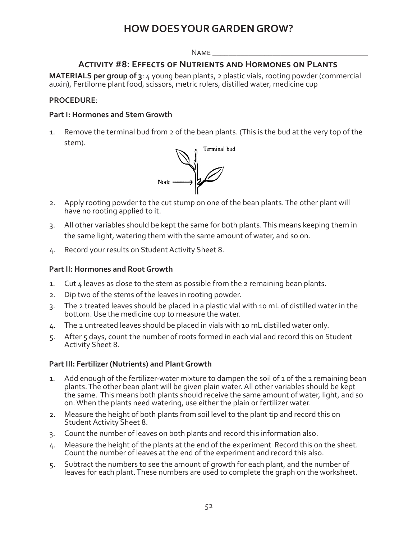#### $N$ AME

#### **Activity #8: Effects of Nutrients and Hormones on Plants**

**MATERIALS per group of 3**: 4 young bean plants, 2 plastic vials, rooting powder (commercial auxin), Fertilome plant food, scissors, metric rulers, distilled water, medicine cup

#### **PROCEDURE**:

#### **Part I: Hormones and Stem Growth**

1. Remove the terminal bud from 2 of the bean plants. (This is the bud at the very top of the stem).



- 2. Apply rooting powder to the cut stump on one of the bean plants. The other plant will have no rooting applied to it.
- 3. All other variables should be kept the same for both plants. This means keeping them in the same light, watering them with the same amount of water, and so on.
- 4. Record your results on Student Activity Sheet 8.

#### **Part II: Hormones and Root Growth**

- 1. Cut 4 leaves as close to the stem as possible from the 2 remaining bean plants.
- 2. Dip two of the stems of the leaves in rooting powder.
- 3. The 2 treated leaves should be placed in a plastic vial with 10 mL of distilled water in the bottom. Use the medicine cup to measure the water.
- 4. The 2 untreated leaves should be placed in vials with 10 mL distilled water only.
- 5. After 5 days, count the number of roots formed in each vial and record this on Student Activity Sheet 8.

#### **Part III: Fertilizer (Nutrients) and Plant Growth**

- 1. Add enough of the fertilizer-water mixture to dampen the soil of 1 of the 2 remaining bean plants. The other bean plant will be given plain water. All other variables should be kept the same. This means both plants should receive the same amount of water, light, and so on. When the plants need watering, use either the plain or fertilizer water.
- 2. Measure the height of both plants from soil level to the plant tip and record this on Student Activity Sheet 8.
- 3. Count the number of leaves on both plants and record this information also.
- 4. Measure the height of the plants at the end of the experiment Record this on the sheet. Count the number of leaves at the end of the experiment and record this also.
- 5. Subtract the numbers to see the amount of growth for each plant, and the number of leaves for each plant. These numbers are used to complete the graph on the worksheet.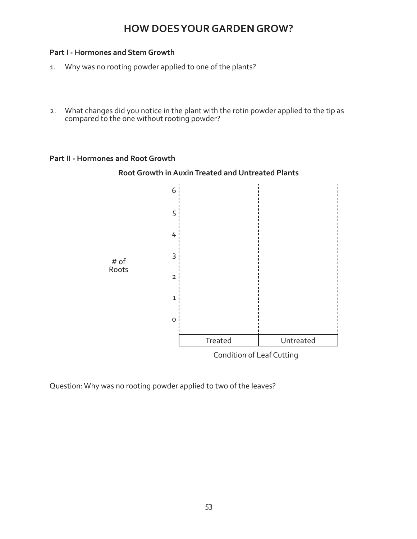#### **Part I - Hormones and Stem Growth**

- 1. Why was no rooting powder applied to one of the plants?
- 2. What changes did you notice in the plant with the rotin powder applied to the tip as compared to the one without rooting powder?

#### **Part II - Hormones and Root Growth**

#### **Root Growth in Auxin Treated and Untreated Plants**



Condition of Leaf Cutting

Question: Why was no rooting powder applied to two of the leaves?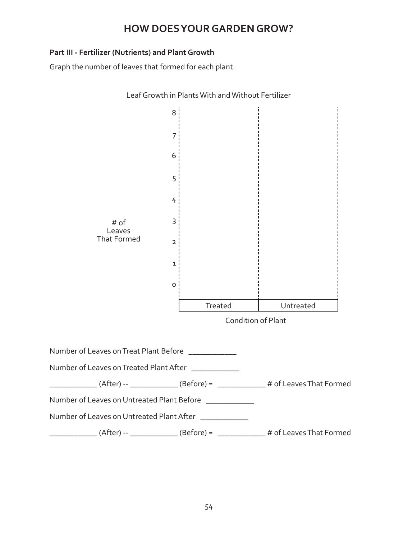#### **Part III - Fertilizer (Nutrients) and Plant Growth**

Graph the number of leaves that formed for each plant.

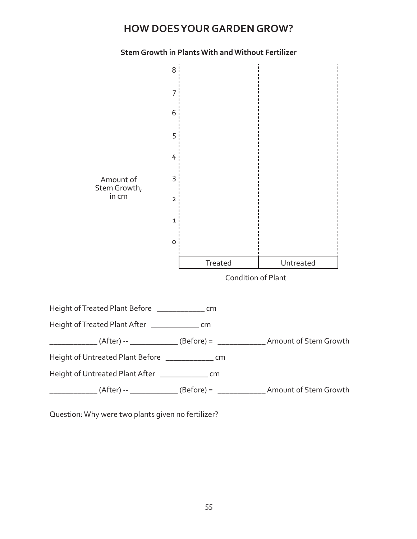#### **Stem Growth in Plants With and Without Fertilizer**



Question: Why were two plants given no fertilizer?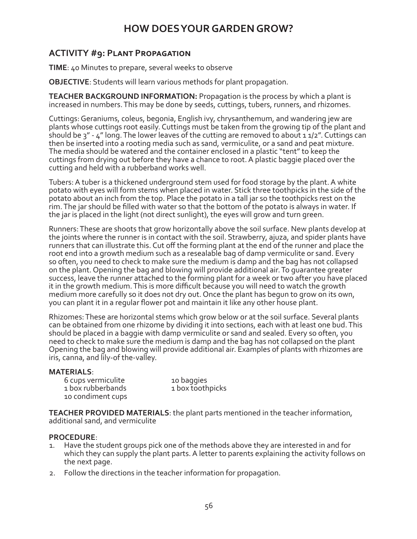### **ACTIVITY #9: Plant Propagation**

**TIME**: 40 Minutes to prepare, several weeks to observe

**OBJECTIVE**: Students will learn various methods for plant propagation.

**TEACHER BACKGROUND INFORMATION:** Propagation is the process by which a plant is increased in numbers. This may be done by seeds, cuttings, tubers, runners, and rhizomes.

Cuttings: Geraniums, coleus, begonia, English ivy, chrysanthemum, and wandering jew are plants whose cuttings root easily. Cuttings must be taken from the growing tip of the plant and should be  $3'' - 4''$  long. The lower leaves of the cutting are removed to about 1  $1/2''$ . Cuttings can then be inserted into a rooting media such as sand, vermiculite, or a sand and peat mixture. The media should be watered and the container enclosed in a plastic "tent" to keep the cuttings from drying out before they have a chance to root. A plastic baggie placed over the cutting and held with a rubberband works well.

Tubers: A tuber is a thickened underground stem used for food storage by the plant. A white potato with eyes will form stems when placed in water. Stick three toothpicks in the side of the potato about an inch from the top. Place the potato in a tall jar so the toothpicks rest on the rim. The jar should be filled with water so that the bottom of the potato is always in water. If the jar is placed in the light (not direct sunlight), the eyes will grow and turn green.

Runners: These are shoots that grow horizontally above the soil surface. New plants develop at the joints where the runner is in contact with the soil. Strawberry, ajuza, and spider plants have runners that can illustrate this. Cut off the forming plant at the end of the runner and place the root end into a growth medium such as a resealable bag of damp vermiculite or sand. Every so often, you need to check to make sure the medium is damp and the bag has not collapsed on the plant. Opening the bag and blowing will provide additional air. To guarantee greater success, leave the runner attached to the forming plant for a week or two after you have placed it in the growth medium. This is more difficult because you will need to watch the growth medium more carefully so it does not dry out. Once the plant has begun to grow on its own, you can plant it in a regular flower pot and maintain it like any other house plant.

Rhizomes: These are horizontal stems which grow below or at the soil surface. Several plants can be obtained from one rhizome by dividing it into sections, each with at least one bud. This should be placed in a baggie with damp vermiculite or sand and sealed. Every so often, you need to check to make sure the medium is damp and the bag has not collapsed on the plant Opening the bag and blowing will provide additional air. Examples of plants with rhizomes are iris, canna, and lily-of the-valley.

#### **MATERIALS**:

6 cups vermiculite 10 baggies 1 box rubberbands 1 box toothpicks 10 condiment cups

**TEACHER PROVIDED MATERIALS**: the plant parts mentioned in the teacher information, additional sand, and vermiculite

#### **PROCEDURE**:

- 1. Have the student groups pick one of the methods above they are interested in and for which they can supply the plant parts. A letter to parents explaining the activity follows on the next page.
- 2. Follow the directions in the teacher information for propagation.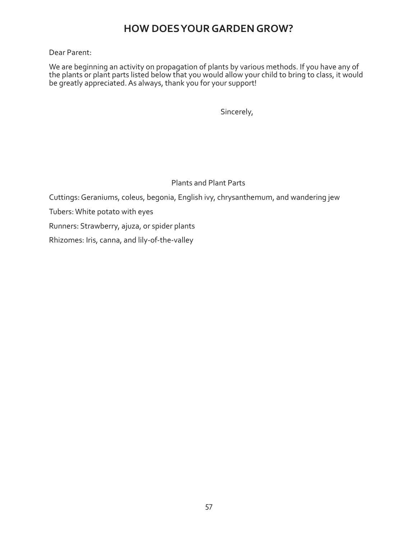#### Dear Parent:

We are beginning an activity on propagation of plants by various methods. If you have any of the plants or plant parts listed below that you would allow your child to bring to class, it would be greatly appreciated. As always, thank you for your support!

Sincerely,

#### Plants and Plant Parts

Cuttings: Geraniums, coleus, begonia, English ivy, chrysanthemum, and wandering jew

Tubers: White potato with eyes

Runners: Strawberry, ajuza, or spider plants

Rhizomes: Iris, canna, and lily-of-the-valley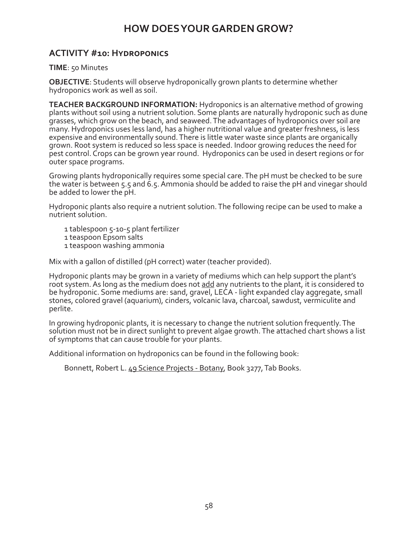#### **ACTIVITY #10: Hydroponics**

**TIME**: 50 Minutes

**OBJECTIVE**: Students will observe hydroponically grown plants to determine whether hydroponics work as well as soil.

**TEACHER BACKGROUND INFORMATION:** Hydroponics is an alternative method of growing plants without soil using a nutrient solution. Some plants are naturally hydroponic such as dune grasses, which grow on the beach, and seaweed. The advantages of hydroponics over soil are many. Hydroponics uses less land, has a higher nutritional value and greater freshness, is less expensive and environmentally sound. There is little water waste since plants are organically grown. Root system is reduced so less space is needed. Indoor growing reduces the need for pest control. Crops can be grown year round. Hydroponics can be used in desert regions or for outer space programs.

Growing plants hydroponically requires some special care. The pH must be checked to be sure the water is between 5.5 and 6.5. Ammonia should be added to raise the pH and vinegar should be added to lower the pH.

Hydroponic plants also require a nutrient solution. The following recipe can be used to make a nutrient solution.

1 tablespoon 5-10-5 plant fertilizer

- 1 teaspoon Epsom salts
- 1 teaspoon washing ammonia

Mix with a gallon of distilled (pH correct) water (teacher provided).

Hydroponic plants may be grown in a variety of mediums which can help support the plant's root system. As long as the medium does not add any nutrients to the plant, it is considered to be hydroponic. Some mediums are: sand, gravel, LECA - light expanded clay aggregate, small stones, colored gravel (aquarium), cinders, volcanic lava, charcoal, sawdust, vermiculite and perlite.

In growing hydroponic plants, it is necessary to change the nutrient solution frequently. The solution must not be in direct sunlight to prevent algae growth. The attached chart shows a list of symptoms that can cause trouble for your plants.

Additional information on hydroponics can be found in the following book:

Bonnett, Robert L. 49 Science Projects - Botany, Book 3277, Tab Books.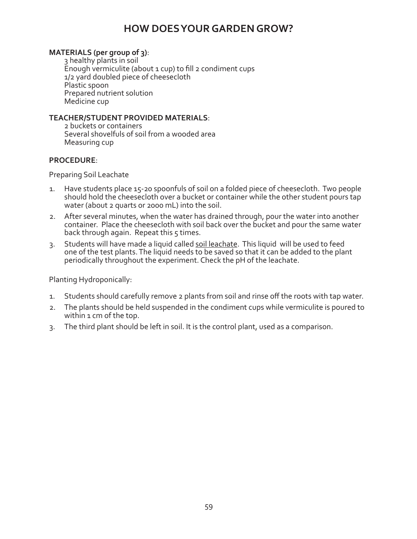#### **MATERIALS (per group of 3)**:

3 healthy plants in soil Enough vermiculite (about 1 cup) to fill 2 condiment cups 1/2 yard doubled piece of cheesecloth Plastic spoon Prepared nutrient solution Medicine cup

#### **TEACHER/STUDENT PROVIDED MATERIALS**:

2 buckets or containers Several shovelfuls of soil from a wooded area Measuring cup

#### **PROCEDURE**:

Preparing Soil Leachate

- 1. Have students place 15-20 spoonfuls of soil on a folded piece of cheesecloth. Two people should hold the cheesecloth over a bucket or container while the other student pours tap water (about 2 quarts or 2000 mL) into the soil.
- 2. After several minutes, when the water has drained through, pour the water into another container. Place the cheesecloth with soil back over the bucket and pour the same water back through again. Repeat this  $5$  times.
- 3. Students will have made a liquid called soil leachate. This liquid will be used to feed one of the test plants. The liquid needs to be saved so that it can be added to the plant periodically throughout the experiment. Check the pH of the leachate.

Planting Hydroponically:

- 1. Students should carefully remove 2 plants from soil and rinse off the roots with tap water.
- 2. The plants should be held suspended in the condiment cups while vermiculite is poured to within 1 cm of the top.
- 3. The third plant should be left in soil. It is the control plant, used as a comparison.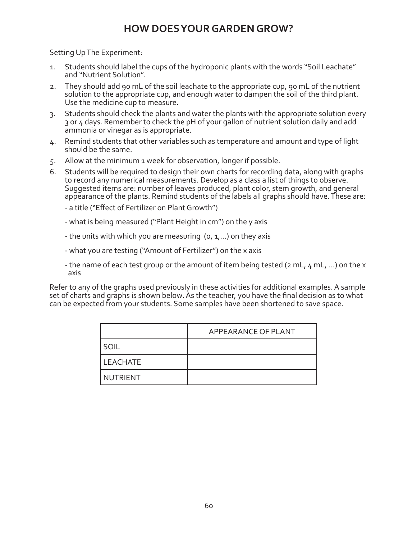Setting Up The Experiment:

- 1. Students should label the cups of the hydroponic plants with the words "Soil Leachate" and "Nutrient Solution".
- 2. They should add 90 mL of the soil leachate to the appropriate cup, 90 mL of the nutrient solution to the appropriate cup, and enough water to dampen the soil of the third plant. Use the medicine cup to measure.
- 3. Students should check the plants and water the plants with the appropriate solution every 3 or 4 days. Remember to check the pH of your gallon of nutrient solution daily and add ammonia or vinegar as is appropriate.
- 4. Remind students that other variables such as temperature and amount and type of light should be the same.
- 5. Allow at the minimum 1 week for observation, longer if possible.
- 6. Students will be required to design their own charts for recording data, along with graphs to record any numerical measurements. Develop as a class a list of things to observe. Suggested items are: number of leaves produced, plant color, stem growth, and general appearance of the plants. Remind students of the labels all graphs should have. These are:
	- a title ("Effect of Fertilizer on Plant Growth")
	- what is being measured ("Plant Height in cm") on the y axis
	- the units with which you are measuring  $(0, 1, \ldots)$  on they axis
	- what you are testing ("Amount of Fertilizer") on the x axis
	- the name of each test group or the amount of item being tested ( $2$  mL,  $4$  mL, ...) on the  $x$ axis

Refer to any of the graphs used previously in these activities for additional examples. A sample set of charts and graphs is shown below. As the teacher, you have the final decision as to what can be expected from your students. Some samples have been shortened to save space.

|                 | APPEARANCE OF PLANT |
|-----------------|---------------------|
| SOIL            |                     |
| <b>LEACHATE</b> |                     |
| <b>NUTRIENT</b> |                     |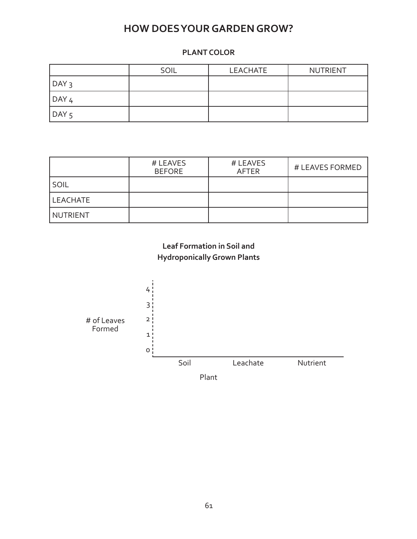#### **PLANT COLOR**

|               | SOIL | LEACHATE | <b>NUTRIENT</b> |
|---------------|------|----------|-----------------|
| $\vert$ DAY 3 |      |          |                 |
| $\vert$ DAY 4 |      |          |                 |
| $\vert$ DAY 5 |      |          |                 |

|          | # LEAVES<br><b>BEFORE</b> | # LEAVES<br>AFTER | # LEAVES FORMED |
|----------|---------------------------|-------------------|-----------------|
| SOIL     |                           |                   |                 |
| LEACHATE |                           |                   |                 |
| NUTRIENT |                           |                   |                 |

### **Leaf Formation in Soil and Hydroponically Grown Plants**

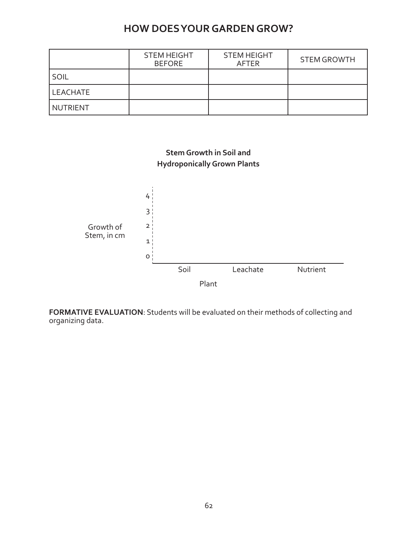|          | <b>STEM HEIGHT</b><br><b>BEFORE</b> | <b>STEM HEIGHT</b><br><b>AFTER</b> | <b>STEM GROWTH</b> |
|----------|-------------------------------------|------------------------------------|--------------------|
| SOIL     |                                     |                                    |                    |
| LEACHATE |                                     |                                    |                    |
| NUTRIENT |                                     |                                    |                    |



**FORMATIVE EVALUATION**: Students will be evaluated on their methods of collecting and organizing data.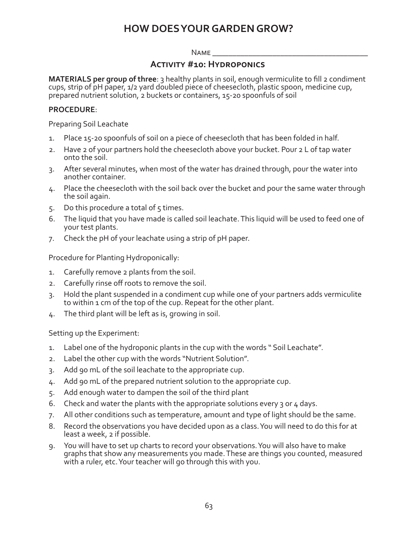#### $N$ AME

#### **Activity #10: Hydroponics**

**MATERIALS per group of three**: 3 healthy plants in soil, enough vermiculite to fill 2 condiment cups, strip of pH paper, 1/2 yard doubled piece of cheesecloth, plastic spoon, medicine cup, prepared nutrient solution, 2 buckets or containers, 15-20 spoonfuls of soil

#### **PROCEDURE**:

Preparing Soil Leachate

- 1. Place 15-20 spoonfuls of soil on a piece of cheesecloth that has been folded in half.
- 2. Have 2 of your partners hold the cheesecloth above your bucket. Pour 2 L of tap water onto the soil.
- 3. After several minutes, when most of the water has drained through, pour the water into another container.
- 4. Place the cheesecloth with the soil back over the bucket and pour the same water through the soil again.
- 5. Do this procedure a total of  $5$  times.
- 6. The liquid that you have made is called soil leachate. This liquid will be used to feed one of your test plants.
- 7. Check the pH of your leachate using a strip of pH paper.

Procedure for Planting Hydroponically:

- 1. Carefully remove 2 plants from the soil.
- 2. Carefully rinse off roots to remove the soil.
- 3. Hold the plant suspended in a condiment cup while one of your partners adds vermiculite to within 1 cm of the top of the cup. Repeat for the other plant.
- 4. The third plant will be left as is, growing in soil.

Setting up the Experiment:

- 1. Label one of the hydroponic plants in the cup with the words " Soil Leachate".
- 2. Label the other cup with the words "Nutrient Solution".
- 3. Add 90 mL of the soil leachate to the appropriate cup.
- 4. Add 90 mL of the prepared nutrient solution to the appropriate cup.
- 5. Add enough water to dampen the soil of the third plant
- 6. Check and water the plants with the appropriate solutions every 3 or 4 days.
- 7. All other conditions such as temperature, amount and type of light should be the same.
- 8. Record the observations you have decided upon as a class. You will need to do this for at least a week, 2 if possible.
- 9. You will have to set up charts to record your observations. You will also have to make graphs that show any measurements you made. These are things you counted, measured with a ruler, etc. Your teacher will go through this with you.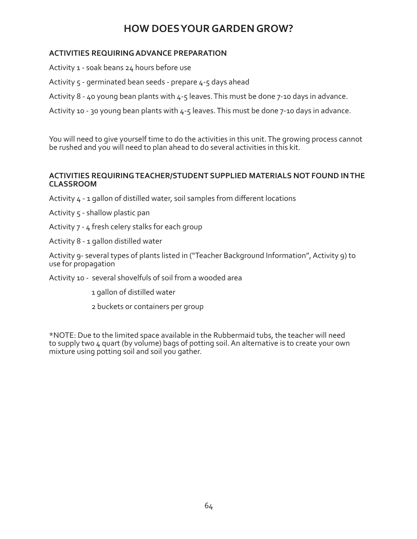#### **ACTIVITIES REQUIRING ADVANCE PREPARATION**

Activity 1 - soak beans 24 hours before use

- Activity 5 germinated bean seeds prepare 4-5 days ahead
- Activity 8 40 young bean plants with 4-5 leaves. This must be done 7-10 days in advance.

Activity 10 - 30 young bean plants with 4-5 leaves. This must be done 7-10 days in advance.

You will need to give yourself time to do the activities in this unit. The growing process cannot be rushed and you will need to plan ahead to do several activities in this kit.

#### **ACTIVITIES REQUIRING TEACHER/STUDENT SUPPLIED MATERIALS NOT FOUND IN THE CLASSROOM**

- Activity 4 1 gallon of distilled water, soil samples from different locations
- Activity 5 shallow plastic pan
- Activity 7 4 fresh celery stalks for each group
- Activity 8 1 gallon distilled water

Activity 9- several types of plants listed in ("Teacher Background Information", Activity 9) to use for propagation

- Activity 10 several shovelfuls of soil from a wooded area
	- 1 gallon of distilled water
	- 2 buckets or containers per group

\*NOTE: Due to the limited space available in the Rubbermaid tubs, the teacher will need to supply two 4 quart (by volume) bags of potting soil. An alternative is to create your own mixture using potting soil and soil you gather.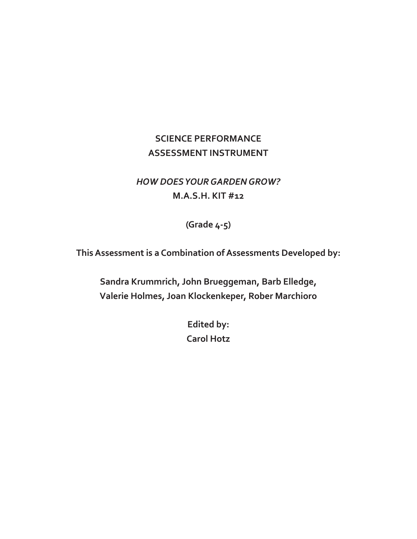### **SCIENCE PERFORMANCE ASSESSMENT INSTRUMENT**

### *HOW DOES YOUR GARDEN GROW?*  **M.A.S.H. KIT #12**

**(Grade 4-5)**

**This Assessment is a Combination of Assessments Developed by:**

**Sandra Krummrich, John Brueggeman, Barb Elledge, Valerie Holmes, Joan Klockenkeper, Rober Marchioro**

> **Edited by: Carol Hotz**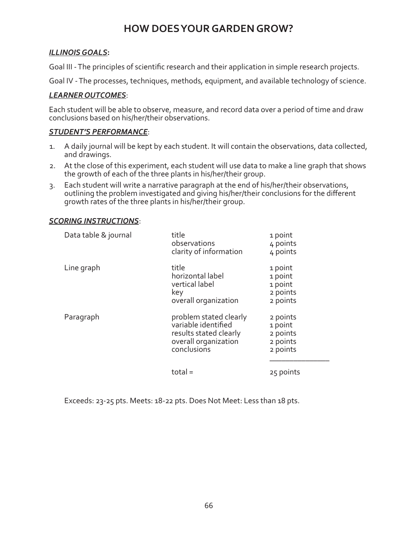#### *ILLINOIS GOALS***:**

Goal III - The principles of scientific research and their application in simple research projects.

Goal IV - The processes, techniques, methods, equipment, and available technology of science.

#### *LEARNER OUTCOMES*:

Each student will be able to observe, measure, and record data over a period of time and draw conclusions based on his/her/their observations.

#### *STUDENT'S PERFORMANCE*:

- 1. A daily journal will be kept by each student. It will contain the observations, data collected, and drawings.
- 2. At the close of this experiment, each student will use data to make a line graph that shows the growth of each of the three plants in his/her/their group.
- 3. Each student will write a narrative paragraph at the end of his/her/their observations, outlining the problem investigated and giving his/her/their conclusions for the different growth rates of the three plants in his/her/their group.

#### *SCORING INSTRUCTIONS*:

| Data table & journal | title<br>observations<br>clarity of information                                                                | 1 point<br>4 points<br>4 points                         |
|----------------------|----------------------------------------------------------------------------------------------------------------|---------------------------------------------------------|
| Line graph           | title<br>horizontal label<br>vertical label<br>key<br>overall organization                                     | 1 point<br>1 point<br>1 point<br>2 points<br>2 points   |
| Paragraph            | problem stated clearly<br>variable identified<br>results stated clearly<br>overall organization<br>conclusions | 2 points<br>1 point<br>2 points<br>2 points<br>2 points |
|                      | $total =$                                                                                                      | 25 points                                               |

Exceeds: 23-25 pts. Meets: 18-22 pts. Does Not Meet: Less than 18 pts.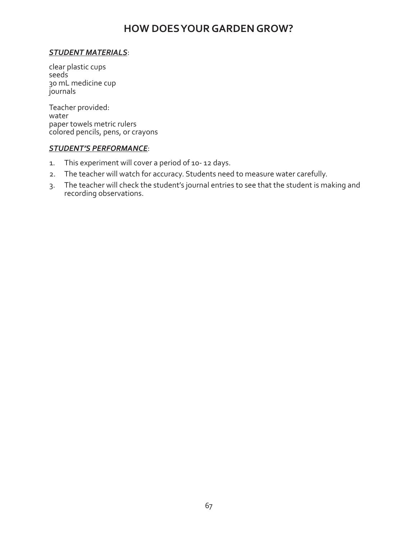#### *STUDENT MATERIALS*:

clear plastic cups seeds 30 mL medicine cup journals

Teacher provided: water paper towels metric rulers colored pencils, pens, or crayons

#### *STUDENT'S PERFORMANCE*:

- 1. This experiment will cover a period of 10- 12 days.
- 2. The teacher will watch for accuracy. Students need to measure water carefully.
- 3. The teacher will check the student's journal entries to see that the student is making and recording observations.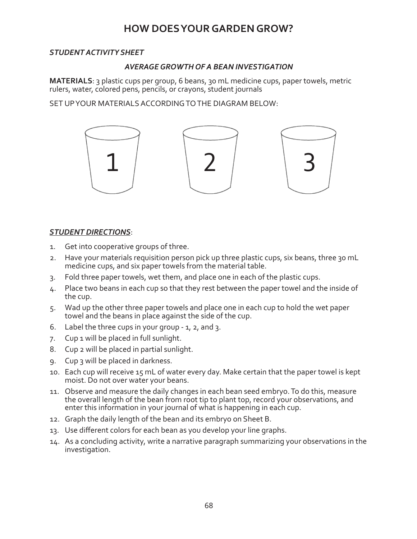#### *STUDENT ACTIVITY SHEET*

#### *AVERAGE GROWTH OF A BEAN INVESTIGATION*

**MATERIALS**: 3 plastic cups per group, 6 beans, 30 mL medicine cups, paper towels, metric rulers, water, colored pens, pencils, or crayons, student journals

SET UP YOUR MATERIALS ACCORDING TO THE DIAGRAM BELOW:



#### *STUDENT DIRECTIONS*:

- 1. Get into cooperative groups of three.
- 2. Have your materials requisition person pick up three plastic cups, six beans, three 30 mL medicine cups, and six paper towels from the material table.
- 3. Fold three paper towels, wet them, and place one in each of the plastic cups.
- 4. Place two beans in each cup so that they rest between the paper towel and the inside of the cup.
- 5. Wad up the other three paper towels and place one in each cup to hold the wet paper towel and the beans in place against the side of the cup.
- 6. Label the three cups in your group 1, 2, and 3.
- 7. Cup 1 will be placed in full sunlight.
- 8. Cup 2 will be placed in partial sunlight.
- 9. Cup 3 will be placed in darkness.
- 10. Each cup will receive 15 mL of water every day. Make certain that the paper towel is kept moist. Do not over water your beans.
- 11. Observe and measure the daily changes in each bean seed embryo. To do this, measure the overall length of the bean from root tip to plant top, record your observations, and enter this information in your journal of what is happening in each cup.
- 12. Graph the daily length of the bean and its embryo on Sheet B.
- 13. Use different colors for each bean as you develop your line graphs.
- 14. As a concluding activity, write a narrative paragraph summarizing your observations in the investigation.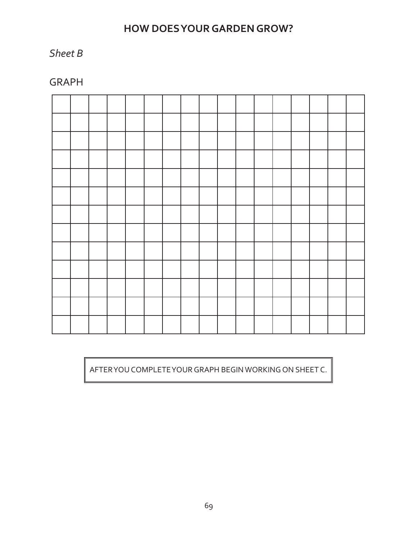### *Sheet B*

GRAPH

AFTER YOU COMPLETE YOUR GRAPH BEGIN WORKING ON SHEET C.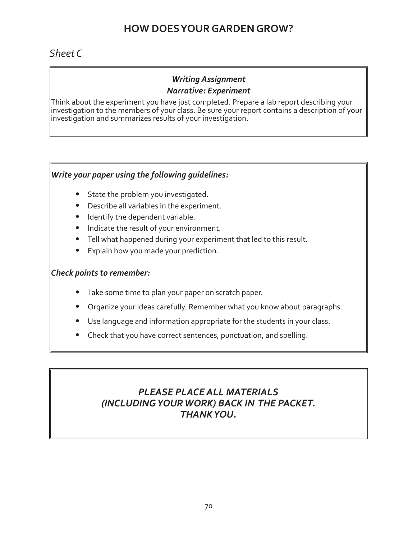### *Sheet C*

#### *Writing Assignment Narrative: Experiment*

Think about the experiment you have just completed. Prepare a lab report describing your investigation to the members of your class. Be sure your report contains a description of your investigation and summarizes results of your investigation.

#### *Write your paper using the following guidelines:*

- **•** State the problem you investigated.
- **•** Describe all variables in the experiment.
- **•** Identify the dependent variable.
- **•** Indicate the result of your environment.
- **•** Tell what happened during your experiment that led to this result.
- **•** Explain how you made your prediction.

#### *Check points to remember:*

- **•** Take some time to plan your paper on scratch paper.
- **•** Organize your ideas carefully. Remember what you know about paragraphs.
- **•** Use language and information appropriate for the students in your class.
- **•** Check that you have correct sentences, punctuation, and spelling.

### *PLEASE PLACE ALL MATERIALS (INCLUDING YOUR WORK) BACK IN THE PACKET. THANK YOU.*